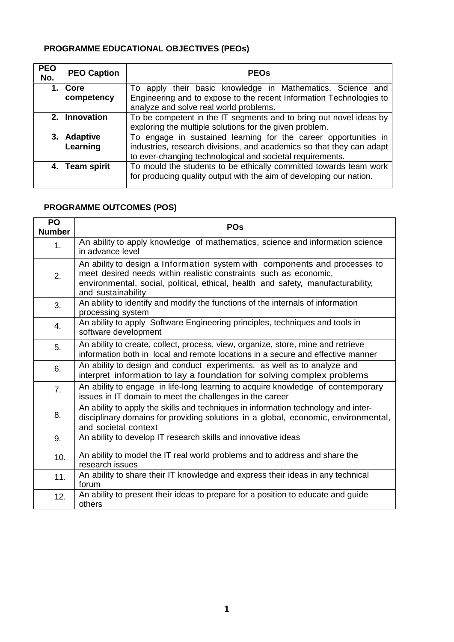## **PROGRAMME EDUCATIONAL OBJECTIVES (PEOs)**

| <b>PEO</b><br>No. | <b>PEO Caption</b>          | <b>PEOS</b>                                                                                                                                                                                          |
|-------------------|-----------------------------|------------------------------------------------------------------------------------------------------------------------------------------------------------------------------------------------------|
|                   | Core                        | To apply their basic knowledge in Mathematics, Science and                                                                                                                                           |
|                   | competency                  | Engineering and to expose to the recent Information Technologies to<br>analyze and solve real world problems.                                                                                        |
| 2.                | <b>Innovation</b>           | To be competent in the IT segments and to bring out novel ideas by<br>exploring the multiple solutions for the given problem.                                                                        |
| 3.                | <b>Adaptive</b><br>Learning | To engage in sustained learning for the career opportunities in<br>industries, research divisions, and academics so that they can adapt<br>to ever-changing technological and societal requirements. |
| 4. I              | <b>Team spirit</b>          | To mould the students to be ethically committed towards team work<br>for producing quality output with the aim of developing our nation.                                                             |

## **PROGRAMME OUTCOMES (POS)**

| <b>PO</b><br><b>Number</b> | <b>POs</b>                                                                                                                                                                                                                                                |
|----------------------------|-----------------------------------------------------------------------------------------------------------------------------------------------------------------------------------------------------------------------------------------------------------|
| 1 <sub>1</sub>             | An ability to apply knowledge of mathematics, science and information science<br>in advance level                                                                                                                                                         |
| 2.                         | An ability to design a Information system with components and processes to<br>meet desired needs within realistic constraints such as economic,<br>environmental, social, political, ethical, health and safety, manufacturability,<br>and sustainability |
| 3.                         | An ability to identify and modify the functions of the internals of information<br>processing system                                                                                                                                                      |
| 4.                         | An ability to apply Software Engineering principles, techniques and tools in<br>software development                                                                                                                                                      |
| 5.                         | An ability to create, collect, process, view, organize, store, mine and retrieve<br>information both in local and remote locations in a secure and effective manner                                                                                       |
| 6.                         | An ability to design and conduct experiments, as well as to analyze and<br>interpret information to lay a foundation for solving complex problems                                                                                                         |
| 7 <sub>1</sub>             | An ability to engage in life-long learning to acquire knowledge of contemporary<br>issues in IT domain to meet the challenges in the career                                                                                                               |
| 8.                         | An ability to apply the skills and techniques in information technology and inter-<br>disciplinary domains for providing solutions in a global, economic, environmental,<br>and societal context                                                          |
| 9.                         | An ability to develop IT research skills and innovative ideas                                                                                                                                                                                             |
| 10.                        | An ability to model the IT real world problems and to address and share the<br>research issues                                                                                                                                                            |
| 11.                        | An ability to share their IT knowledge and express their ideas in any technical<br>forum                                                                                                                                                                  |
| 12.                        | An ability to present their ideas to prepare for a position to educate and guide<br>others                                                                                                                                                                |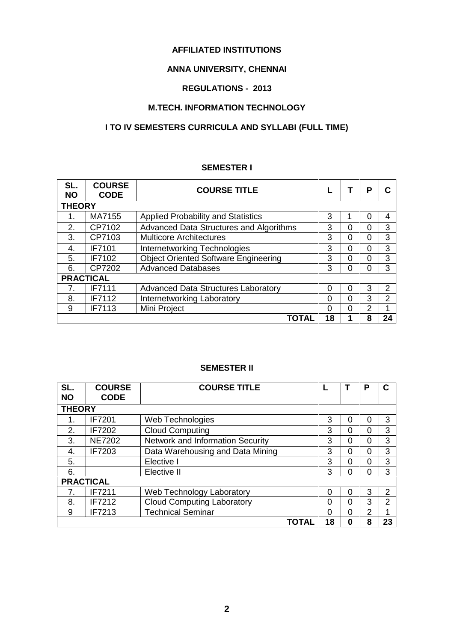## **AFFILIATED INSTITUTIONS**

## **ANNA UNIVERSITY, CHENNAI**

## **REGULATIONS - 2013**

## **M.TECH. INFORMATION TECHNOLOGY**

## **I TO IV SEMESTERS CURRICULA AND SYLLABI (FULL TIME)**

## **SEMESTER I**

| SL.<br><b>NO</b> | <b>COURSE</b><br><b>CODE</b> | <b>COURSE TITLE</b>                         |    |   | Р        | C  |  |  |  |  |
|------------------|------------------------------|---------------------------------------------|----|---|----------|----|--|--|--|--|
|                  | <b>THEORY</b>                |                                             |    |   |          |    |  |  |  |  |
|                  | MA7155                       | <b>Applied Probability and Statistics</b>   | 3  |   | $\Omega$ | 4  |  |  |  |  |
| 2.               | CP7102                       | Advanced Data Structures and Algorithms     | 3  | 0 | 0        | 3  |  |  |  |  |
| 3.               | CP7103                       | <b>Multicore Architectures</b>              | 3  | 0 | $\Omega$ | 3  |  |  |  |  |
| 4.               | <b>IF7101</b>                | Internetworking Technologies                | 3  | 0 | 0        | 3  |  |  |  |  |
| 5.               | IF7102                       | <b>Object Oriented Software Engineering</b> | 3  | 0 | 0        | 3  |  |  |  |  |
| 6.               | CP7202                       | <b>Advanced Databases</b>                   | 3  | 0 | $\Omega$ | 3  |  |  |  |  |
|                  | <b>PRACTICAL</b>             |                                             |    |   |          |    |  |  |  |  |
| 7.               | <b>IF7111</b>                | <b>Advanced Data Structures Laboratory</b>  | 0  | 0 | 3        | 2  |  |  |  |  |
| 8.               | IF7112                       | Internetworking Laboratory                  | 0  | 0 | 3        | 2  |  |  |  |  |
| 9                | IF7113                       | Mini Project                                | 0  | 0 | 2        |    |  |  |  |  |
|                  |                              | TOTAL                                       | 18 |   | 8        | 24 |  |  |  |  |

## **SEMESTER II**

| SL.<br><b>NO</b> | <b>COURSE</b><br><b>CODE</b> | <b>COURSE TITLE</b>               |    |          | P | C  |
|------------------|------------------------------|-----------------------------------|----|----------|---|----|
| <b>THEORY</b>    |                              |                                   |    |          |   |    |
| 1.               | <b>IF7201</b>                | Web Technologies                  | 3  | 0        | 0 | 3  |
| 2.               | <b>IF7202</b>                | <b>Cloud Computing</b>            | 3  | 0        | 0 | 3  |
| 3.               | <b>NE7202</b>                | Network and Information Security  | 3  | 0        | 0 | 3  |
| 4.               | IF7203                       | Data Warehousing and Data Mining  | 3  | $\Omega$ | 0 | 3  |
| 5.               |                              | Elective I                        | 3  | 0        | 0 | 3  |
| 6.               |                              | Elective II                       | 3  | 0        | 0 | 3  |
| <b>PRACTICAL</b> |                              |                                   |    |          |   |    |
|                  | IF7211                       | Web Technology Laboratory         | 0  | 0        | 3 | 2  |
| 8.               | <b>IF7212</b>                | <b>Cloud Computing Laboratory</b> | 0  | $\Omega$ | 3 | 2  |
| 9                | IF7213                       | <b>Technical Seminar</b>          | 0  | 0        | 2 |    |
|                  |                              | TOTAL                             | 18 | $\bf{0}$ | 8 | 23 |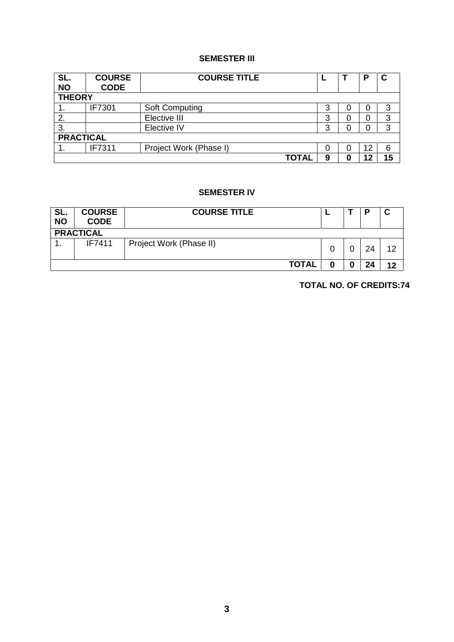## **SEMESTER III**

| SL.<br><b>NO</b> | <b>COURSE</b><br><b>CODE</b> | <b>COURSE TITLE</b>    |   |   | D  | C  |  |  |
|------------------|------------------------------|------------------------|---|---|----|----|--|--|
| <b>THEORY</b>    |                              |                        |   |   |    |    |  |  |
| 1.               | IF7301                       | Soft Computing         | 3 | O | 0  | 3  |  |  |
| 2.               |                              | Elective III           | 3 | 0 |    | 3  |  |  |
| 3.               |                              | Elective IV            | 3 | 0 |    | 3  |  |  |
| <b>PRACTICAL</b> |                              |                        |   |   |    |    |  |  |
|                  | IF7311                       | Project Work (Phase I) | 0 | 0 | 12 | 6  |  |  |
|                  |                              | TOTAL                  | 9 | 0 | 12 | 15 |  |  |

## **SEMESTER IV**

| SL.<br><b>NO</b> | <b>COURSE</b><br><b>CODE</b> | <b>COURSE TITLE</b>     |  |  | P  | u  |  |  |
|------------------|------------------------------|-------------------------|--|--|----|----|--|--|
|                  | <b>PRACTICAL</b>             |                         |  |  |    |    |  |  |
| . .              | IF7411                       | Project Work (Phase II) |  |  | 24 | 12 |  |  |
|                  |                              | <b>TOTAL</b>            |  |  | 24 | 12 |  |  |

**TOTAL NO. OF CREDITS:74**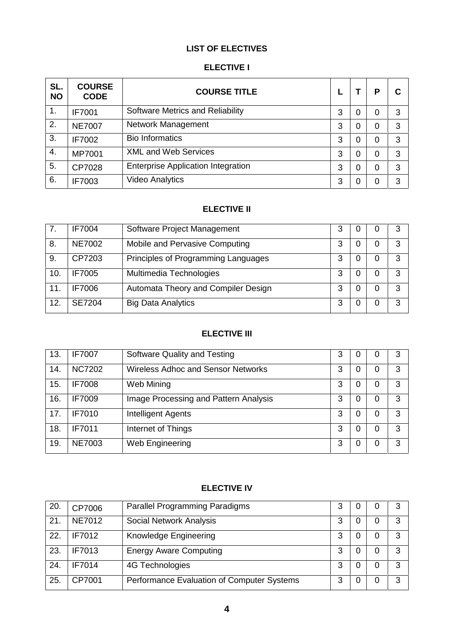## **LIST OF ELECTIVES**

## **ELECTIVE I**

| SL.<br><b>NO</b> | <b>COURSE</b><br><b>CODE</b> | <b>COURSE TITLE</b>                       |   |   | P | С |
|------------------|------------------------------|-------------------------------------------|---|---|---|---|
| 1.               | <b>IF7001</b>                | Software Metrics and Reliability          | 3 | 0 | 0 | 3 |
| 2.               | <b>NE7007</b>                | Network Management                        | 3 | 0 | 0 | 3 |
| 3.               | IF7002                       | <b>Bio Informatics</b>                    | 3 | 0 | 0 | 3 |
| 4.               | MP7001                       | <b>XML and Web Services</b>               | 3 | 0 | 0 | 3 |
| 5.               | CP7028                       | <b>Enterprise Application Integration</b> | 3 | 0 | 0 | 3 |
| 6.               | IF7003                       | <b>Video Analytics</b>                    | 3 | 0 | 0 | 3 |

## **ELECTIVE II**

|     | <b>IF7004</b> | Software Project Management         | З | 0 | 3 |
|-----|---------------|-------------------------------------|---|---|---|
| 8.  | <b>NE7002</b> | Mobile and Pervasive Computing      |   | 0 | 3 |
| 9.  | CP7203        | Principles of Programming Languages |   | 0 | 3 |
| 10. | <b>IF7005</b> | Multimedia Technologies             |   |   | 3 |
| 11. | <b>IF7006</b> | Automata Theory and Compiler Design | 3 | 0 | 3 |
| 12. | <b>SE7204</b> | <b>Big Data Analytics</b>           | 3 |   | 3 |

## **ELECTIVE III**

| 13. | <b>IF7007</b> | Software Quality and Testing          | 3 | 0 |   | 3 |
|-----|---------------|---------------------------------------|---|---|---|---|
| 14. | <b>NC7202</b> | Wireless Adhoc and Sensor Networks    | 3 | 0 | 0 | 3 |
| 15. | <b>IF7008</b> | Web Mining                            | 3 | 0 | O | 3 |
| 16. | <b>IF7009</b> | Image Processing and Pattern Analysis | 3 | 0 | 0 | 3 |
| 17. | <b>IF7010</b> | Intelligent Agents                    | 3 | 0 | 0 | 3 |
| 18. | <b>IF7011</b> | Internet of Things                    | 3 | 0 |   | 3 |
| 19. | <b>NE7003</b> | Web Engineering                       | 3 | 0 | O | 3 |

## **ELECTIVE IV**

| 20. | CP7006        | Parallel Programming Paradigms             | 3 |   | 3 |
|-----|---------------|--------------------------------------------|---|---|---|
| 21  | <b>NE7012</b> | Social Network Analysis                    | 3 |   | 3 |
| 22. | <b>IF7012</b> | Knowledge Engineering                      | 3 | 0 | 3 |
| 23. | IF7013        | <b>Energy Aware Computing</b>              | 3 | 0 | 3 |
| 24. | <b>IF7014</b> | 4G Technologies                            | 3 |   | 3 |
| 25. | CP7001        | Performance Evaluation of Computer Systems | 3 | 0 | 3 |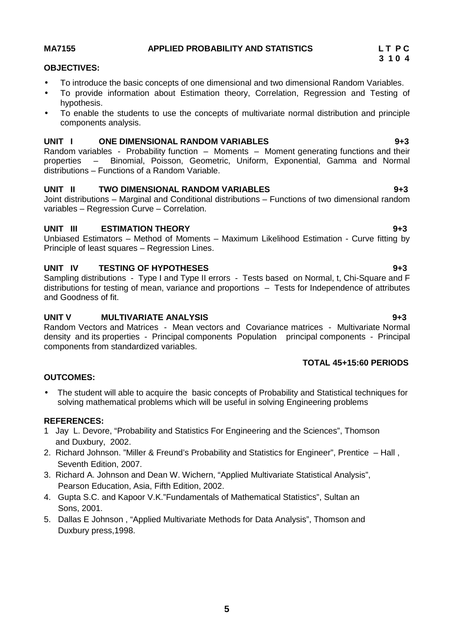## **MA7155 APPLIED PROBABILITY AND STATISTICS L T P C**

## **OBJECTIVES:**

- To introduce the basic concepts of one dimensional and two dimensional Random Variables.
- To provide information about Estimation theory, Correlation, Regression and Testing of hypothesis.
- To enable the students to use the concepts of multivariate normal distribution and principle components analysis.

## **UNIT I ONE DIMENSIONAL RANDOM VARIABLES 9+3**

Random variables - Probability function – Moments – Moment generating functions and their properties – Binomial, Poisson, Geometric, Uniform, Exponential, Gamma and Normal distributions – Functions of a Random Variable.

## **UNIT II TWO DIMENSIONAL RANDOM VARIABLES 9+3**

Joint distributions – Marginal and Conditional distributions – Functions of two dimensional random variables – Regression Curve – Correlation.

## **UNIT III ESTIMATION THEORY 9+3**

Unbiased Estimators – Method of Moments – Maximum Likelihood Estimation - Curve fitting by Principle of least squares – Regression Lines.

## **UNIT IV TESTING OF HYPOTHESES 9+3**

Sampling distributions - Type I and Type II errors - Tests based on Normal, t, Chi-Square and F distributions for testing of mean, variance and proportions – Tests for Independence of attributes and Goodness of fit.

## **UNIT V MULTIVARIATE ANALYSIS 9+3**

Random Vectors and Matrices - Mean vectors and Covariance matrices - Multivariate Normal density and its properties - Principal components Population principal components - Principal components from standardized variables.

## **TOTAL 45+15:60 PERIODS**

## **OUTCOMES:**

 The student will able to acquire the basic concepts of Probability and Statistical techniques for solving mathematical problems which will be useful in solving Engineering problems

## **REFERENCES:**

- 1 Jay L. Devore, "Probability and Statistics For Engineering and the Sciences", Thomson and Duxbury, 2002.
- 2. Richard Johnson. "Miller & Freund's Probability and Statistics for Engineer", Prentice Hall , Seventh Edition, 2007.
- 3. Richard A. Johnson and Dean W. Wichern, "Applied Multivariate Statistical Analysis", Pearson Education, Asia, Fifth Edition, 2002.
- 4. Gupta S.C. and Kapoor V.K."Fundamentals of Mathematical Statistics", Sultan an Sons, 2001.
- 5. Dallas E Johnson , "Applied Multivariate Methods for Data Analysis", Thomson and Duxbury press,1998.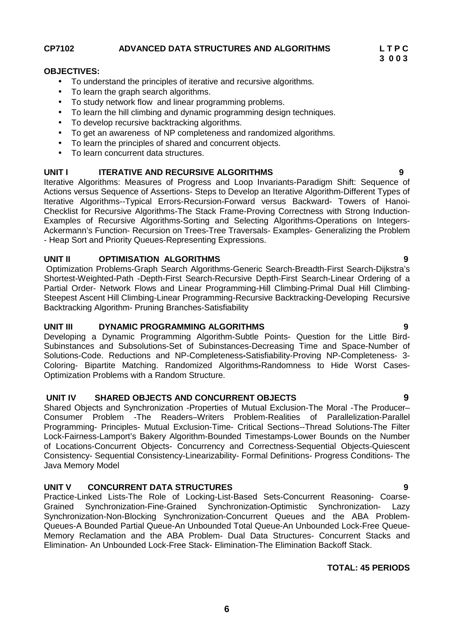**CP7102 ADVANCED DATA STRUCTURES AND ALGORITHMS L T P C**

## **OBJECTIVES:**

- To understand the principles of iterative and recursive algorithms.
- To learn the graph search algorithms.
- To study network flow and linear programming problems.
- To learn the hill climbing and dynamic programming design techniques.
- To develop recursive backtracking algorithms.
- To get an awareness of NP completeness and randomized algorithms.
- To learn the principles of shared and concurrent objects.
- To learn concurrent data structures.

## **UNIT I ITERATIVE AND RECURSIVE ALGORITHMS 9**

Iterative Algorithms: Measures of Progress and Loop Invariants-Paradigm Shift: Sequence of Actions versus Sequence of Assertions- Steps to Develop an Iterative Algorithm-Different Types of Iterative Algorithms--Typical Errors-Recursion-Forward versus Backward- Towers of Hanoi- Checklist for Recursive Algorithms-The Stack Frame-Proving Correctness with Strong Induction- Examples of Recursive Algorithms-Sorting and Selecting Algorithms-Operations on Integers- Ackermann's Function- Recursion on Trees-Tree Traversals- Examples- Generalizing the Problem - Heap Sort and Priority Queues-Representing Expressions.

## **UNIT II OPTIMISATION ALGORITHMS 9**

Optimization Problems-Graph Search Algorithms-Generic Search-Breadth-First Search-Dijkstra's Shortest-Weighted-Path -Depth-First Search-Recursive Depth-First Search-Linear Ordering of a Partial Order- Network Flows and Linear Programming-Hill Climbing-Primal Dual Hill Climbing- Steepest Ascent Hill Climbing-Linear Programming-Recursive Backtracking-Developing Recursive Backtracking Algorithm- Pruning Branches-Satisfiability

### **UNIT III DYNAMIC PROGRAMMING ALGORITHMS 9**

Developing a Dynamic Programming Algorithm-Subtle Points- Question for the Little Bird- Subinstances and Subsolutions-Set of Subinstances-Decreasing Time and Space-Number of Solutions-Code. Reductions and NP-Completeness**-**Satisfiability-Proving NP-Completeness- 3- Coloring- Bipartite Matching. Randomized Algorithms**-**Randomness to Hide Worst Cases- Optimization Problems with a Random Structure.

## **UNIT IV SHARED OBJECTS AND CONCURRENT OBJECTS 9**

Shared Objects and Synchronization -Properties of Mutual Exclusion-The Moral -The Producer– Consumer Problem -The Readers–Writers Problem-Realities of Parallelization-Parallel Programming- Principles- Mutual Exclusion-Time- Critical Sections--Thread Solutions-The Filter Lock-Fairness-Lamport's Bakery Algorithm-Bounded Timestamps-Lower Bounds on the Number of Locations-Concurrent Objects- Concurrency and Correctness-Sequential Objects-Quiescent Consistency- Sequential Consistency-Linearizability- Formal Definitions- Progress Conditions- The Java Memory Model

## **UNIT V CONCURRENT DATA STRUCTURES 9**

Practice-Linked Lists-The Role of Locking-List-Based Sets-Concurrent Reasoning- Coarse- Grained Synchronization-Fine-Grained Synchronization-Optimistic Synchronization- Lazy Synchronization-Non-Blocking Synchronization-Concurrent Queues and the ABA Problem- Queues-A Bounded Partial Queue-An Unbounded Total Queue-An Unbounded Lock-Free Queue- Memory Reclamation and the ABA Problem- Dual Data Structures- Concurrent Stacks and Elimination- An Unbounded Lock-Free Stack- Elimination-The Elimination Backoff Stack.

## **TOTAL: 45 PERIODS**

**3 0 0 3**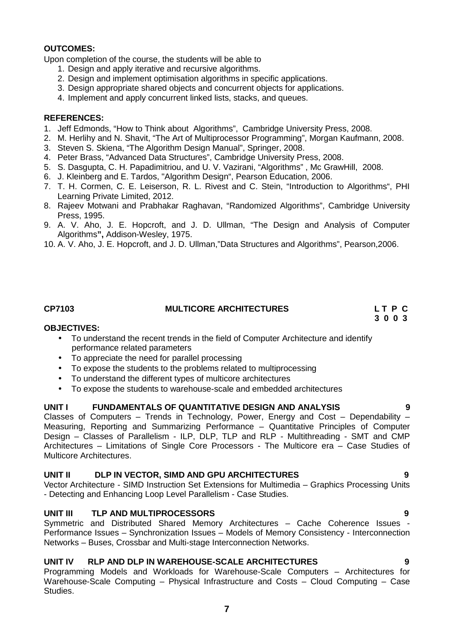## **OUTCOMES:**

Upon completion of the course, the students will be able to

- 1. Design and apply iterative and recursive algorithms.
- 2. Design and implement optimisation algorithms in specific applications.
- 3. Design appropriate shared objects and concurrent objects for applications.
- 4. Implement and apply concurrent linked lists, stacks, and queues.

## **REFERENCES:**

- 1. Jeff Edmonds, "How to Think about Algorithms", Cambridge University Press, 2008.
- 2. M. Herlihy and N. Shavit, "The Art of Multiprocessor Programming", Morgan Kaufmann, 2008.
- 3. Steven S. Skiena, "The Algorithm Design Manual", Springer, 2008.
- 4. Peter Brass, "Advanced Data Structures", Cambridge University Press, 2008.
- 5. S. Dasgupta, C. H. Papadimitriou, and U. V. Vazirani, "Algorithms" , Mc GrawHill, 2008.
- 6. J. Kleinberg and E. Tardos, "Algorithm Design", Pearson Education, 2006.
- 7. T. H. Cormen, C. E. Leiserson, R. L. Rivest and C. Stein, "Introduction to Algorithms", PHI Learning Private Limited, 2012.
- 8. Rajeev Motwani and Prabhakar Raghavan, "Randomized Algorithms", Cambridge University Press, 1995.
- 9. A. V. Aho, J. E. Hopcroft, and J. D. Ullman, "The Design and Analysis of Computer Algorithms**",** Addison-Wesley, 1975.
- 10. A. V. Aho, J. E. Hopcroft, and J. D. Ullman,"Data Structures and Algorithms", Pearson,2006.

## **CP7103 MULTICORE ARCHITECTURES L T P C**

**3 0 0 3**

### **OBJECTIVES:**

- To understand the recent trends in the field of Computer Architecture and identify performance related parameters
- To appreciate the need for parallel processing
- To expose the students to the problems related to multiprocessing
- To understand the different types of multicore architectures
- To expose the students to warehouse-scale and embedded architectures

## **UNIT I FUNDAMENTALS OF QUANTITATIVE DESIGN AND ANALYSIS 9**

Classes of Computers – Trends in Technology, Power, Energy and Cost – Dependability – Measuring, Reporting and Summarizing Performance – Quantitative Principles of Computer Design – Classes of Parallelism - ILP, DLP, TLP and RLP - Multithreading - SMT and CMP Architectures – Limitations of Single Core Processors - The Multicore era – Case Studies of Multicore Architectures.

### **UNIT II DLP IN VECTOR, SIMD AND GPU ARCHITECTURES 9**

Vector Architecture - SIMD Instruction Set Extensions for Multimedia – Graphics Processing Units - Detecting and Enhancing Loop Level Parallelism - Case Studies.

## **UNIT III TLP AND MULTIPROCESSORS 9**

Symmetric and Distributed Shared Memory Architectures – Cache Coherence Issues - Performance Issues – Synchronization Issues – Models of Memory Consistency - Interconnection Networks – Buses, Crossbar and Multi-stage Interconnection Networks.

## **UNIT IV RLP AND DLP IN WAREHOUSE-SCALE ARCHITECTURES 9**

Programming Models and Workloads for Warehouse-Scale Computers – Architectures for Warehouse-Scale Computing – Physical Infrastructure and Costs – Cloud Computing – Case Studies.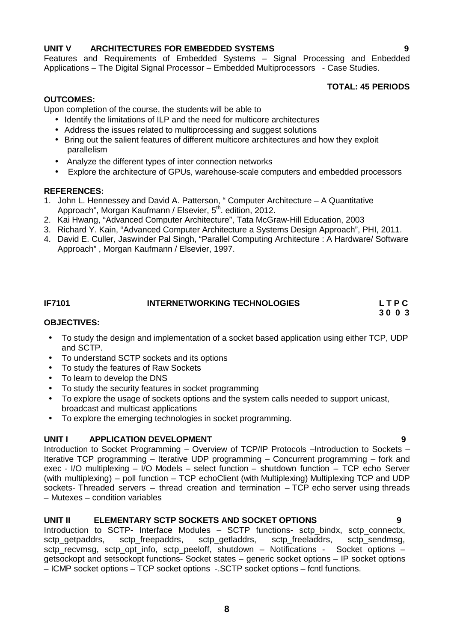## **UNIT V ARCHITECTURES FOR EMBEDDED SYSTEMS 9**

Features and Requirements of Embedded Systems – Signal Processing and Enbedded Applications – The Digital Signal Processor – Embedded Multiprocessors - Case Studies.

## **TOTAL: 45 PERIODS**

## **OUTCOMES:**

Upon completion of the course, the students will be able to

- Identify the limitations of ILP and the need for multicore architectures
- Address the issues related to multiprocessing and suggest solutions
- Bring out the salient features of different multicore architectures and how they exploit parallelism
- Analyze the different types of inter connection networks
- Explore the architecture of GPUs, warehouse-scale computers and embedded processors

## **REFERENCES:**

- 1. John L. Hennessey and David A. Patterson, " Computer Architecture A Quantitative Approach", Morgan Kaufmann / Elsevier, 5<sup>th</sup>. edition, 2012.
- 2. Kai Hwang, "Advanced Computer Architecture", Tata McGraw-Hill Education, 2003
- 3. Richard Y. Kain, "Advanced Computer Architecture a Systems Design Approach", PHI, 2011.
- 4. David E. Culler, Jaswinder Pal Singh, "Parallel Computing Architecture : A Hardware/ Software Approach" , Morgan Kaufmann / Elsevier, 1997.

## **IF7101 INTERNETWORKING TECHNOLOGIES L T P C**

**3 0 0 3**

## **OBJECTIVES:**

- To study the design and implementation of a socket based application using either TCP, UDP and SCTP.
- To understand SCTP sockets and its options
- To study the features of Raw Sockets
- To learn to develop the DNS
- To study the security features in socket programming
- To explore the usage of sockets options and the system calls needed to support unicast, broadcast and multicast applications
- To explore the emerging technologies in socket programming.

## **UNIT I APPLICATION DEVELOPMENT 9**

Introduction to Socket Programming – Overview of TCP/IP Protocols –Introduction to Sockets – Iterative TCP programming – Iterative UDP programming – Concurrent programming – fork and exec - I/O multiplexing – I/O Models – select function – shutdown function – TCP echo Server (with multiplexing) – poll function – TCP echoClient (with Multiplexing) Multiplexing TCP and UDP sockets- Threaded servers – thread creation and termination – TCP echo server using threads – Mutexes – condition variables

## **UNIT II ELEMENTARY SCTP SOCKETS AND SOCKET OPTIONS 9**

Introduction to SCTP- Interface Modules – SCTP functions- sctp bindx, sctp connectx, sctp\_getpaddrs, sctp\_freepaddrs, sctp\_getladdrs, sctp\_freeladdrs, sctp\_sendmsg, sctp\_recvmsg, sctp\_opt\_info, sctp\_peeloff, shutdown – Notifications - Socket options – getsockopt and setsockopt functions- Socket states – generic socket options – IP socket options – ICMP socket options – TCP socket options -.SCTP socket options – fcntl functions.

**8**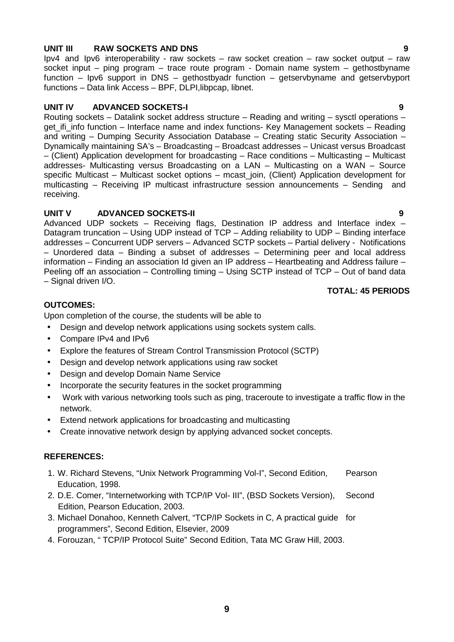## **UNIT III RAW SOCKETS AND DNS 9**

Ipv4 and Ipv6 interoperability - raw sockets – raw socket creation – raw socket output – raw socket input – ping program – trace route program - Domain name system – gethostbyname function – Ipv6 support in DNS – gethostbyadr function – getservbyname and getservbyport functions – Data link Access – BPF, DLPI,libpcap, libnet.

## **UNIT IV ADVANCED SOCKETS-I 9**

Routing sockets – Datalink socket address structure – Reading and writing – sysctl operations – get\_ifi\_info function – Interface name and index functions- Key Management sockets – Reading and writing – Dumping Security Association Database – Creating static Security Association – Dynamically maintaining SA's – Broadcasting – Broadcast addresses – Unicast versus Broadcast – (Client) Application development for broadcasting – Race conditions – Multicasting – Multicast addresses- Multicasting versus Broadcasting on a LAN – Multicasting on a WAN – Source specific Multicast – Multicast socket options – mcast\_join, (Client) Application development for multicasting – Receiving IP multicast infrastructure session announcements – Sending and receiving.

## **UNIT V ADVANCED SOCKETS-II 9**

Advanced UDP sockets – Receiving flags, Destination IP address and Interface index – Datagram truncation – Using UDP instead of TCP – Adding reliability to UDP – Binding interface addresses – Concurrent UDP servers – Advanced SCTP sockets – Partial delivery - Notifications – Unordered data – Binding a subset of addresses – Determining peer and local address information – Finding an association Id given an IP address – Heartbeating and Address failure – Peeling off an association – Controlling timing – Using SCTP instead of TCP – Out of band data – Signal driven I/O.

## **TOTAL: 45 PERIODS**

## **OUTCOMES:**

Upon completion of the course, the students will be able to

- Design and develop network applications using sockets system calls.
- Compare IPv4 and IPv6
- Explore the features of Stream Control Transmission Protocol (SCTP)
- Design and develop network applications using raw socket
- Design and develop Domain Name Service
- Incorporate the security features in the socket programming
- Work with various networking tools such as ping, traceroute to investigate a traffic flow in the network.
- Extend network applications for broadcasting and multicasting
- Create innovative network design by applying advanced socket concepts.

## **REFERENCES:**

- 1. W. Richard Stevens, "Unix Network Programming Vol-I", Second Edition, Pearson Education, 1998.
- 2. D.E. Comer, "Internetworking with TCP/IP Vol- III", (BSD Sockets Version), Second Edition, Pearson Education, 2003.
- 3. Michael Donahoo, Kenneth Calvert, "TCP/IP Sockets in C, A practical guide for programmers", Second Edition, Elsevier, 2009
- 4. Forouzan, " TCP/IP Protocol Suite" Second Edition, Tata MC Graw Hill, 2003.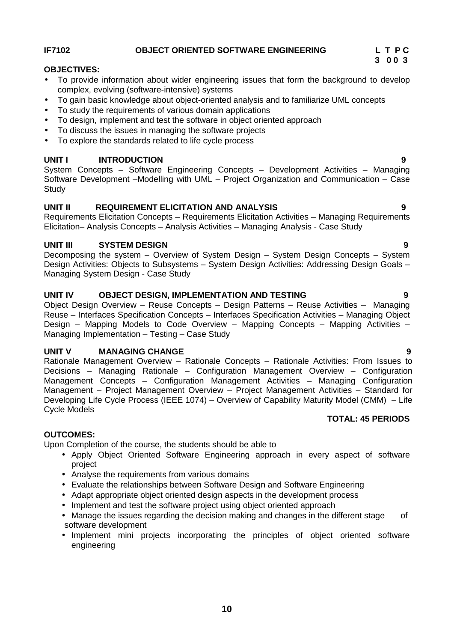## **IF7102 OBJECT ORIENTED SOFTWARE ENGINEERING L T P C**

## **OBJECTIVES:**

- To provide information about wider engineering issues that form the background to develop complex, evolving (software-intensive) systems
- To gain basic knowledge about object-oriented analysis and to familiarize UML concepts
- To study the requirements of various domain applications
- To design, implement and test the software in object oriented approach
- To discuss the issues in managing the software projects
- To explore the standards related to life cycle process

## **UNIT I INTRODUCTION 9**

System Concepts – Software Engineering Concepts – Development Activities – Managing Software Development –Modelling with UML – Project Organization and Communication – Case **Study** 

## **UNIT II REQUIREMENT ELICITATION AND ANALYSIS 9**

Requirements Elicitation Concepts – Requirements Elicitation Activities – Managing Requirements Elicitation– Analysis Concepts – Analysis Activities – Managing Analysis - Case Study

## **UNIT III SYSTEM DESIGN 9**

Decomposing the system – Overview of System Design – System Design Concepts – System Design Activities: Objects to Subsystems – System Design Activities: Addressing Design Goals – Managing System Design - Case Study

## **UNIT IV OBJECT DESIGN, IMPLEMENTATION AND TESTING 9**

Object Design Overview – Reuse Concepts – Design Patterns – Reuse Activities – Managing Reuse – Interfaces Specification Concepts – Interfaces Specification Activities – Managing Object Design – Mapping Models to Code Overview – Mapping Concepts – Mapping Activities – Managing Implementation – Testing – Case Study

## **UNIT V MANAGING CHANGE 9**

Rationale Management Overview – Rationale Concepts – Rationale Activities: From Issues to Decisions – Managing Rationale – Configuration Management Overview – Configuration Management Concepts – Configuration Management Activities – Managing Configuration Management – Project Management Overview – Project Management Activities – Standard for Developing Life Cycle Process (IEEE 1074) – Overview of Capability Maturity Model (CMM) – Life Cycle Models **TOTAL: 45 PERIODS**

## **OUTCOMES:**

Upon Completion of the course, the students should be able to

- Apply Object Oriented Software Engineering approach in every aspect of software project
- Analyse the requirements from various domains
- Evaluate the relationships between Software Design and Software Engineering
- Adapt appropriate object oriented design aspects in the development process
- Implement and test the software project using object oriented approach
- Manage the issues regarding the decision making and changes in the different stage of software development
- Implement mini projects incorporating the principles of object oriented software engineering

**3 0 0 3**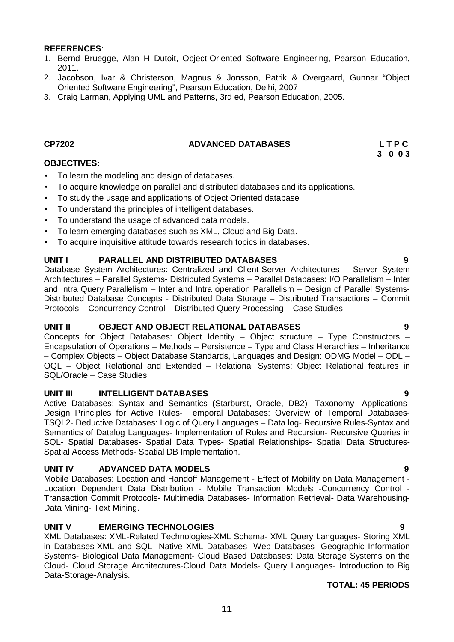- 1. Bernd Bruegge, Alan H Dutoit, Object-Oriented Software Engineering, Pearson Education, 2011.
- 2. Jacobson, Ivar & Christerson, Magnus & Jonsson, Patrik & Overgaard, Gunnar "Object Oriented Software Engineering", Pearson Education, Delhi, 2007
- 3. Craig Larman, Applying UML and Patterns, 3rd ed, Pearson Education, 2005.

## **CP7202 ADVANCED DATABASES L T P C**

**OBJECTIVES:**

- To learn the modeling and design of databases.
- To acquire knowledge on parallel and distributed databases and its applications.
- To study the usage and applications of Object Oriented database
- To understand the principles of intelligent databases.
- To understand the usage of advanced data models.
- To learn emerging databases such as XML, Cloud and Big Data.
- To acquire inquisitive attitude towards research topics in databases.

## **UNIT I PARALLEL AND DISTRIBUTED DATABASES 9**

Database System Architectures: Centralized and Client-Server Architectures – Server System Architectures – Parallel Systems- Distributed Systems – Parallel Databases: I/O Parallelism – Inter and Intra Query Parallelism – Inter and Intra operation Parallelism – Design of Parallel Systems- Distributed Database Concepts - Distributed Data Storage – Distributed Transactions – Commit Protocols – Concurrency Control – Distributed Query Processing – Case Studies

## **UNIT II OBJECT AND OBJECT RELATIONAL DATABASES 9**

Concepts for Object Databases: Object Identity – Object structure – Type Constructors – Encapsulation of Operations – Methods – Persistence – Type and Class Hierarchies – Inheritance – Complex Objects – Object Database Standards, Languages and Design: ODMG Model – ODL – OQL – Object Relational and Extended – Relational Systems: Object Relational features in SQL/Oracle – Case Studies.

### **UNIT III INTELLIGENT DATABASES 9**

Active Databases: Syntax and Semantics (Starburst, Oracle, DB2)- Taxonomy- Applications- Design Principles for Active Rules- Temporal Databases: Overview of Temporal Databases- TSQL2- Deductive Databases: Logic of Query Languages – Data log- Recursive Rules-Syntax and Semantics of Datalog Languages- Implementation of Rules and Recursion- Recursive Queries in SQL- Spatial Databases- Spatial Data Types- Spatial Relationships- Spatial Data Structures- Spatial Access Methods- Spatial DB Implementation.

## **UNIT IV ADVANCED DATA MODELS 9**

Mobile Databases: Location and Handoff Management - Effect of Mobility on Data Management - Location Dependent Data Distribution - Mobile Transaction Models -Concurrency Control - Transaction Commit Protocols- Multimedia Databases- Information Retrieval- Data Warehousing- Data Mining- Text Mining.

## **UNIT V EMERGING TECHNOLOGIES 9**

XML Databases: XML-Related Technologies-XML Schema- XML Query Languages- Storing XML in Databases-XML and SQL- Native XML Databases- Web Databases- Geographic Information Systems- Biological Data Management- Cloud Based Databases: Data Storage Systems on the Cloud- Cloud Storage Architectures-Cloud Data Models- Query Languages- Introduction to Big Data-Storage-Analysis.

## **TOTAL: 45 PERIODS**

**3 0 0 3**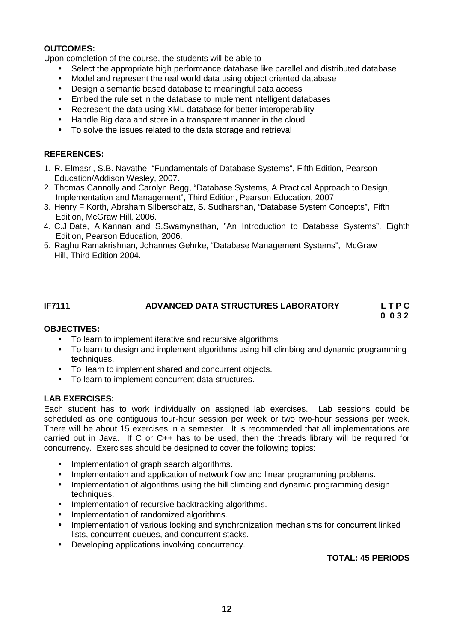## **OUTCOMES:**

Upon completion of the course, the students will be able to

- Select the appropriate high performance database like parallel and distributed database
- Model and represent the real world data using object oriented database
- Design a semantic based database to meaningful data access
- Embed the rule set in the database to implement intelligent databases
- Represent the data using XML database for better interoperability
- Handle Big data and store in a transparent manner in the cloud
- To solve the issues related to the data storage and retrieval

## **REFERENCES:**

- 1. R. Elmasri, S.B. Navathe, "Fundamentals of Database Systems", Fifth Edition, Pearson Education/Addison Wesley, 2007.
- 2. Thomas Cannolly and Carolyn Begg, "Database Systems, A Practical Approach to Design, Implementation and Management", Third Edition, Pearson Education, 2007.
- 3. Henry F Korth, Abraham Silberschatz, S. Sudharshan, "Database System Concepts", Fifth Edition, McGraw Hill, 2006.
- 4. C.J.Date, A.Kannan and S.Swamynathan, "An Introduction to Database Systems", Eighth Edition, Pearson Education, 2006.
- 5. Raghu Ramakrishnan, Johannes Gehrke, "Database Management Systems", McGraw Hill, Third Edition 2004.

### **IF7111 ADVANCED DATA STRUCTURES LABORATORY L T P C 0 0 3 2**

## **OBJECTIVES:**

- To learn to implement iterative and recursive algorithms.
- To learn to design and implement algorithms using hill climbing and dynamic programming techniques.
- To learn to implement shared and concurrent objects.
- To learn to implement concurrent data structures.

## **LAB EXERCISES:**

Each student has to work individually on assigned lab exercises. Lab sessions could be scheduled as one contiguous four-hour session per week or two two-hour sessions per week. There will be about 15 exercises in a semester. It is recommended that all implementations are carried out in Java. If C or C++ has to be used, then the threads library will be required for concurrency. Exercises should be designed to cover the following topics:

- Implementation of graph search algorithms.
- Implementation and application of network flow and linear programming problems.
- Implementation of algorithms using the hill climbing and dynamic programming design techniques.
- Implementation of recursive backtracking algorithms.
- Implementation of randomized algorithms.
- Implementation of various locking and synchronization mechanisms for concurrent linked lists, concurrent queues, and concurrent stacks.
- Developing applications involving concurrency.

## **TOTAL: 45 PERIODS**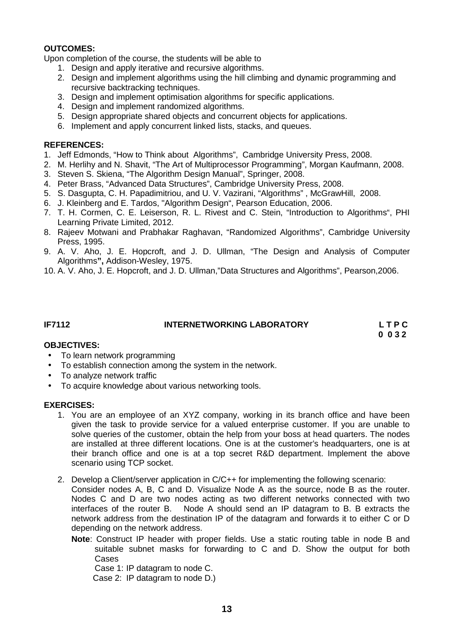## **OUTCOMES:**

Upon completion of the course, the students will be able to

- 1. Design and apply iterative and recursive algorithms.
- 2. Design and implement algorithms using the hill climbing and dynamic programming and recursive backtracking techniques.
- 3. Design and implement optimisation algorithms for specific applications.
- 4. Design and implement randomized algorithms.
- 5. Design appropriate shared objects and concurrent objects for applications.
- 6. Implement and apply concurrent linked lists, stacks, and queues.

### **REFERENCES:**

- 1. Jeff Edmonds, "How to Think about Algorithms", Cambridge University Press, 2008.
- 2. M. Herlihy and N. Shavit, "The Art of Multiprocessor Programming", Morgan Kaufmann, 2008.
- 3. Steven S. Skiena, "The Algorithm Design Manual", Springer, 2008.
- 4. Peter Brass, "Advanced Data Structures", Cambridge University Press, 2008.
- 5. S. Dasgupta, C. H. Papadimitriou, and U. V. Vazirani, "Algorithms" , McGrawHill, 2008.
- 6. J. Kleinberg and E. Tardos, "Algorithm Design", Pearson Education, 2006.
- 7. T. H. Cormen, C. E. Leiserson, R. L. Rivest and C. Stein, "Introduction to Algorithms", PHI Learning Private Limited, 2012.
- 8. Rajeev Motwani and Prabhakar Raghavan, "Randomized Algorithms", Cambridge University Press, 1995.
- 9. A. V. Aho, J. E. Hopcroft, and J. D. Ullman, "The Design and Analysis of Computer Algorithms**",** Addison-Wesley, 1975.
- 10. A. V. Aho, J. E. Hopcroft, and J. D. Ullman,"Data Structures and Algorithms", Pearson,2006.

## **IF7112 INTERNETWORKING LABORATORY L T P C**

**0 0 3 2**

### **OBJECTIVES:**

- To learn network programming
- To establish connection among the system in the network.
- To analyze network traffic
- To acquire knowledge about various networking tools.

### **EXERCISES:**

- 1. You are an employee of an XYZ company, working in its branch office and have been given the task to provide service for a valued enterprise customer. If you are unable to solve queries of the customer, obtain the help from your boss at head quarters. The nodes are installed at three different locations. One is at the customer's headquarters, one is at their branch office and one is at a top secret R&D department. Implement the above scenario using TCP socket.
- 2. Develop a Client/server application in C/C++ for implementing the following scenario:

Consider nodes A, B, C and D. Visualize Node A as the source, node B as the router. Nodes C and D are two nodes acting as two different networks connected with two interfaces of the router B. Node A should send an IP datagram to B. B extracts the network address from the destination IP of the datagram and forwards it to either C or D depending on the network address.

**Note**: Construct IP header with proper fields. Use a static routing table in node B and suitable subnet masks for forwarding to C and D. Show the output for both Cases

Case 1: IP datagram to node C.

Case 2: IP datagram to node D.)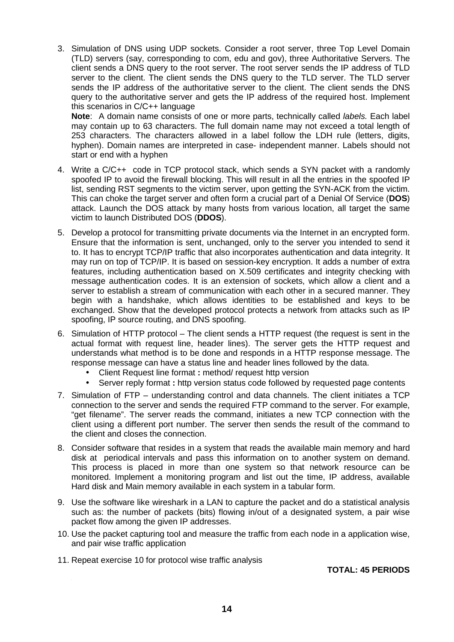3. Simulation of DNS using UDP sockets. Consider a root server, three Top Level Domain (TLD) servers (say, corresponding to com, edu and gov), three Authoritative Servers. The client sends a DNS query to the root server. The root server sends the IP address of TLD server to the client. The client sends the DNS query to the TLD server. The TLD server sends the IP address of the authoritative server to the client. The client sends the DNS query to the authoritative server and gets the IP address of the required host. Implement this scenarios in C/C++ language

**Note**: A domain name consists of one or more parts, technically called *labels.* Each label may contain up to 63 characters. The full domain name may not exceed a total length of 253 characters. The characters allowed in a label follow the LDH rule (letters, digits, hyphen). Domain names are interpreted in case- independent manner. Labels should not start or end with a hyphen

- 4. Write a C/C++ code in TCP protocol stack, which sends a SYN packet with a randomly spoofed IP to avoid the firewall blocking. This will result in all the entries in the spoofed IP list, sending RST segments to the victim server, upon getting the SYN-ACK from the victim. This can choke the target server and often form a crucial part of a Denial Of Service (**DOS**) attack. Launch the DOS attack by many hosts from various location, all target the same victim to launch Distributed DOS (**DDOS**).
- 5. Develop a protocol for transmitting private documents via the Internet in an encrypted form. Ensure that the information is sent, unchanged, only to the server you intended to send it to. It has to encrypt TCP/IP traffic that also incorporates authentication and data integrity. It may run on top of TCP/IP. It is based on session-key encryption. It adds a number of extra features, including authentication based on X.509 certificates and integrity checking with message authentication codes. It is an extension of sockets, which allow a client and a server to establish a stream of communication with each other in a secured manner. They begin with a handshake, which allows identities to be established and keys to be exchanged. Show that the developed protocol protects a network from attacks such as IP spoofing, IP source routing, and DNS spoofing.
- 6. Simulation of HTTP protocol The client sends a HTTP request (the request is sent in the actual format with request line, header lines). The server gets the HTTP request and understands what method is to be done and responds in a HTTP response message. The response message can have a status line and header lines followed by the data.
	- Client Request line format **:** method/ request http version
	- Server reply format : http version status code followed by requested page contents
- 7. Simulation of FTP understanding control and data channels. The client initiates a TCP connection to the server and sends the required FTP command to the server. For example, "get filename". The server reads the command, initiates a new TCP connection with the client using a different port number. The server then sends the result of the command to the client and closes the connection.
- 8. Consider software that resides in a system that reads the available main memory and hard disk at periodical intervals and pass this information on to another system on demand. This process is placed in more than one system so that network resource can be monitored. Implement a monitoring program and list out the time, IP address, available Hard disk and Main memory available in each system in a tabular form.
- 9. Use the software like wireshark in a LAN to capture the packet and do a statistical analysis such as: the number of packets (bits) flowing in/out of a designated system, a pair wise packet flow among the given IP addresses.
- 10. Use the packet capturing tool and measure the traffic from each node in a application wise, and pair wise traffic application
- 11. Repeat exercise 10 for protocol wise traffic analysis

**TOTAL: 45 PERIODS**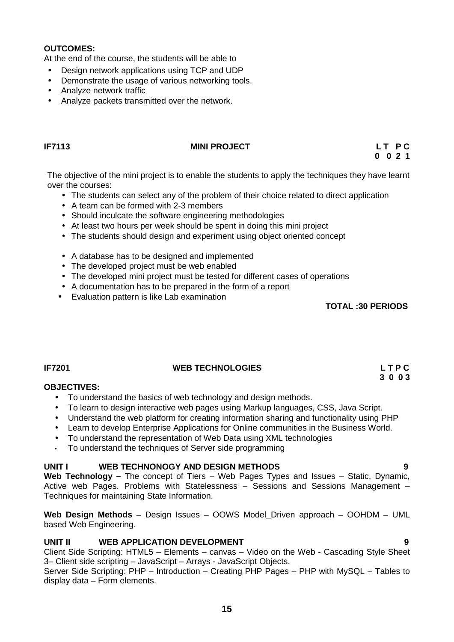## **OUTCOMES:**

At the end of the course, the students will be able to

- Design network applications using TCP and UDP
- Demonstrate the usage of various networking tools.
- Analyze network traffic
- Analyze packets transmitted over the network.

## **IF7113 MINI PROJECT L T P C**

**0 0 2 1**

The objective of the mini project is to enable the students to apply the techniques they have learnt over the courses:

- The students can select any of the problem of their choice related to direct application
- A team can be formed with 2-3 members
- Should inculcate the software engineering methodologies
- At least two hours per week should be spent in doing this mini project
- The students should design and experiment using object oriented concept
- A database has to be designed and implemented
- The developed project must be web enabled
- The developed mini project must be tested for different cases of operations
- A documentation has to be prepared in the form of a report
- Evaluation pattern is like Lab examination

**TOTAL :30 PERIODS**

**3 0 0 3**

## **IF7201 WEB TECHNOLOGIES L T P C**

### **OBJECTIVES:**

- To understand the basics of web technology and design methods.
- To learn to design interactive web pages using Markup languages, CSS, Java Script.
- Understand the web platform for creating information sharing and functionality using PHP
- Learn to develop Enterprise Applications for Online communities in the Business World.
- To understand the representation of Web Data using XML technologies
- To understand the techniques of Server side programming

### **UNIT I WEB TECHNONOGY AND DESIGN METHODS 9**

**Web Technology –** The concept of Tiers – Web Pages Types and Issues – Static, Dynamic, Active web Pages. Problems with Statelessness – Sessions and Sessions Management – Techniques for maintaining State Information.

**Web Design Methods** – Design Issues – OOWS Model\_Driven approach – OOHDM – UML based Web Engineering.

## **UNIT II WEB APPLICATION DEVELOPMENT 9**

Client Side Scripting: HTML5 – Elements – canvas – Video on the Web - Cascading Style Sheet 3– Client side scripting – JavaScript – Arrays - JavaScript Objects.

Server Side Scripting: PHP – Introduction – Creating PHP Pages – PHP with MySQL – Tables to display data – Form elements.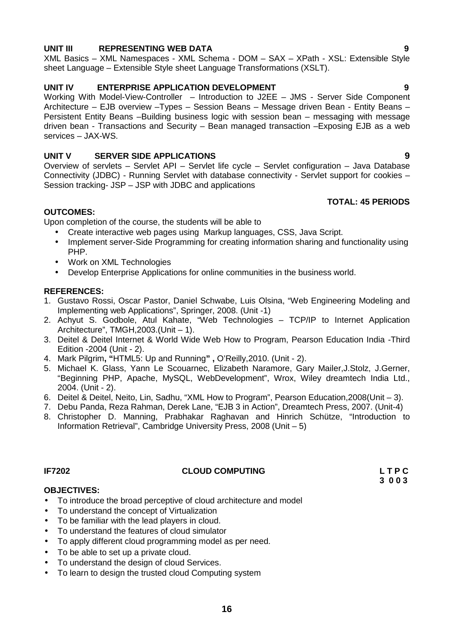## **UNIT III REPRESENTING WEB DATA 9**

XML Basics – XML Namespaces - XML Schema - DOM – SAX – XPath - XSL: Extensible Style sheet Language – Extensible Style sheet Language Transformations (XSLT).

## **UNIT IV ENTERPRISE APPLICATION DEVELOPMENT 9**

Working With Model-View-Controller – Introduction to J2EE – JMS - Server Side Component Architecture – EJB overview –Types – Session Beans – Message driven Bean - Entity Beans – Persistent Entity Beans –Building business logic with session bean – messaging with message driven bean - Transactions and Security – Bean managed transaction –Exposing EJB as a web services – JAX-WS.

## **UNIT V SERVER SIDE APPLICATIONS 9**

Overview of servlets – Servlet API – Servlet life cycle – Servlet configuration – Java Database Connectivity (JDBC) - Running Servlet with database connectivity - Servlet support for cookies – Session tracking- JSP – JSP with JDBC and applications

## **TOTAL: 45 PERIODS**

## **OUTCOMES:**

Upon completion of the course, the students will be able to

- Create interactive web pages using Markup languages, CSS, Java Script.
- Implement server-Side Programming for creating information sharing and functionality using PHP.
- Work on XML Technologies
- Develop Enterprise Applications for online communities in the business world.

## **REFERENCES:**

- 1. Gustavo Rossi, Oscar Pastor, Daniel Schwabe, Luis Olsina, "Web Engineering Modeling and Implementing web Applications", Springer, 2008. (Unit -1)
- 2. Achyut S. Godbole, Atul Kahate, "Web Technologies TCP/IP to Internet Application Architecture", TMGH,2003.(Unit – 1).
- 3. Deitel & Deitel Internet & World Wide Web How to Program, Pearson Education India -Third Edition -2004 (Unit - 2).
- 4. Mark Pilgrim**, "**HTML5: Up and Running**" ,** O'Reilly,2010. (Unit 2).
- 5. Michael K. Glass, Yann Le Scouarnec, Elizabeth Naramore, Gary Mailer,J.Stolz, J.Gerner, "Beginning PHP, Apache, MySQL, WebDevelopment", Wrox, Wiley dreamtech India Ltd., 2004. (Unit - 2).
- 6. Deitel & Deitel, Neito, Lin, Sadhu, "XML How to Program", Pearson Education,2008(Unit 3).
- 7. Debu Panda, Reza Rahman, Derek Lane, "EJB 3 in Action", Dreamtech Press, 2007. (Unit-4)
- 8. Christopher D. Manning, Prabhakar Raghavan and Hinrich Schütze, "Introduction to Information Retrieval", Cambridge University Press, 2008 (Unit – 5)

## **IF7202 CLOUD COMPUTING L T P C**

**3 0 0 3**

## **OBJECTIVES:**

- To introduce the broad perceptive of cloud architecture and model
- To understand the concept of Virtualization
- To be familiar with the lead players in cloud.
- To understand the features of cloud simulator
- To apply different cloud programming model as per need.
- To be able to set up a private cloud.
- To understand the design of cloud Services.
- To learn to design the trusted cloud Computing system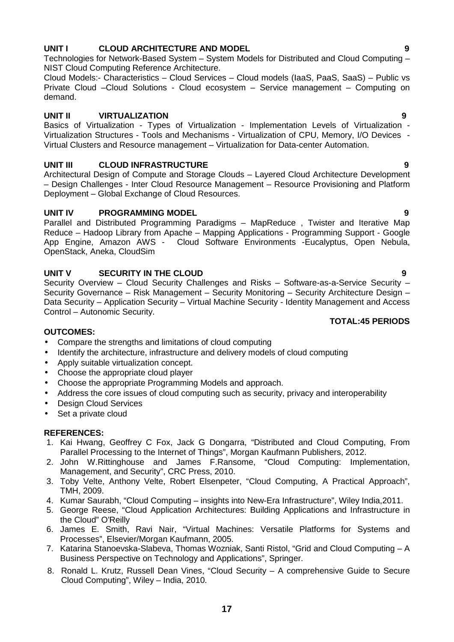## **UNIT I CLOUD ARCHITECTURE AND MODEL 9**

Technologies for Network-Based System – System Models for Distributed and Cloud Computing – NIST Cloud Computing Reference Architecture.

Cloud Models:- Characteristics – Cloud Services – Cloud models (IaaS, PaaS, SaaS) – Public vs Private Cloud –Cloud Solutions - Cloud ecosystem – Service management – Computing on demand.

## **UNIT II VIRTUALIZATION 9**

Basics of Virtualization - Types of Virtualization - Implementation Levels of Virtualization - Virtualization Structures - Tools and Mechanisms - Virtualization of CPU, Memory, I/O Devices - Virtual Clusters and Resource management – Virtualization for Data-center Automation.

## **UNIT III CLOUD INFRASTRUCTURE 9**

Architectural Design of Compute and Storage Clouds – Layered Cloud Architecture Development – Design Challenges - Inter Cloud Resource Management – Resource Provisioning and Platform Deployment – Global Exchange of Cloud Resources.

## **UNIT IV PROGRAMMING MODEL 9**

Parallel and Distributed Programming Paradigms – MapReduce , Twister and Iterative Map Reduce – Hadoop Library from Apache – Mapping Applications - Programming Support - Google App Engine, Amazon AWS - Cloud Software Environments -Eucalyptus, Open Nebula, OpenStack, Aneka, CloudSim

## **UNIT V SECURITY IN THE CLOUD 9**

Security Overview – Cloud Security Challenges and Risks – Software-as-a-Service Security – Security Governance – Risk Management – Security Monitoring – Security Architecture Design – Data Security – Application Security – Virtual Machine Security - Identity Management and Access Control – Autonomic Security.

## **OUTCOMES:**

- Compare the strengths and limitations of cloud computing
- Identify the architecture, infrastructure and delivery models of cloud computing
- Apply suitable virtualization concept.
- Choose the appropriate cloud player
- Choose the appropriate Programming Models and approach.
- Address the core issues of cloud computing such as security, privacy and interoperability
- Design Cloud Services
- Set a private cloud

## **REFERENCES:**

- 1. Kai Hwang, Geoffrey C Fox, Jack G Dongarra, "Distributed and Cloud Computing, From Parallel Processing to the Internet of Things", Morgan Kaufmann Publishers, 2012.
- 2. John W.Rittinghouse and James F.Ransome, "Cloud Computing: Implementation, Management, and Security", CRC Press, 2010.
- 3. Toby Velte, Anthony Velte, Robert Elsenpeter, "Cloud Computing, A Practical Approach", TMH, 2009.
- 4. Kumar Saurabh, "Cloud Computing insights into New-Era Infrastructure", Wiley India,2011.
- 5. George Reese, "Cloud Application Architectures: Building Applications and Infrastructure in the Cloud" O'Reilly
- 6. James E. Smith, Ravi Nair, "Virtual Machines: Versatile Platforms for Systems and Processes", Elsevier/Morgan Kaufmann, 2005.
- 7. Katarina Stanoevska-Slabeva, Thomas Wozniak, Santi Ristol, "Grid and Cloud Computing A Business Perspective on Technology and Applications", Springer.
- 8. Ronald L. Krutz, Russell Dean Vines, "Cloud Security A comprehensive Guide to Secure Cloud Computing", Wiley – India, 2010.

**TOTAL:45 PERIODS**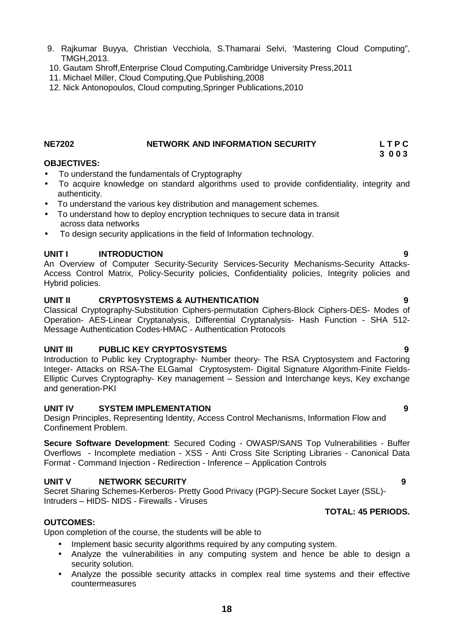- 9. Rajkumar Buyya, Christian Vecchiola, S.Thamarai Selvi, 'Mastering Cloud Computing", TMGH,2013.
- 10. Gautam Shroff,Enterprise Cloud Computing,Cambridge University Press,2011
- 11. Michael Miller, Cloud Computing,Que Publishing,2008
- 12. Nick Antonopoulos, Cloud computing,Springer Publications,2010

### **NE7202 NETWORK AND INFORMATION SECURITY L T P C 3 0 0 3**

## **OBJECTIVES:**

- To understand the fundamentals of Cryptography
- To acquire knowledge on standard algorithms used to provide confidentiality, integrity and authenticity.
- To understand the various key distribution and management schemes.
- To understand how to deploy encryption techniques to secure data in transit across data networks
- To design security applications in the field of Information technology.

## **UNIT I INTRODUCTION 9**

An Overview of Computer Security-Security Services-Security Mechanisms-Security Attacks- Access Control Matrix, Policy-Security policies, Confidentiality policies, Integrity policies and Hybrid policies.

## **UNIT II CRYPTOSYSTEMS & AUTHENTICATION 9**

Classical Cryptography-Substitution Ciphers-permutation Ciphers-Block Ciphers-DES- Modes of Operation- AES-Linear Cryptanalysis, Differential Cryptanalysis- Hash Function - SHA 512- Message Authentication Codes-HMAC - Authentication Protocols

## **UNIT III PUBLIC KEY CRYPTOSYSTEMS 9**

Introduction to Public key Cryptography- Number theory- The RSA Cryptosystem and Factoring Integer- Attacks on RSA-The ELGamal Cryptosystem- Digital Signature Algorithm-Finite Fields- Elliptic Curves Cryptography- Key management – Session and Interchange keys, Key exchange and generation-PKI

### **UNIT IV SYSTEM IMPLEMENTATION 9**

Design Principles, Representing Identity, Access Control Mechanisms, Information Flow and Confinement Problem.

**Secure Software Development**: Secured Coding - OWASP/SANS Top Vulnerabilities - Buffer Overflows - Incomplete mediation - XSS - Anti Cross Site Scripting Libraries - Canonical Data Format - Command Injection - Redirection - Inference – Application Controls

## **UNIT V NETWORK SECURITY 9**

Secret Sharing Schemes-Kerberos- Pretty Good Privacy (PGP)-Secure Socket Layer (SSL)- Intruders – HIDS- NIDS - Firewalls - Viruses

### **TOTAL: 45 PERIODS.**

## **OUTCOMES:**

Upon completion of the course, the students will be able to

- Implement basic security algorithms required by any computing system.
- Analyze the vulnerabilities in any computing system and hence be able to design a security solution.
- Analyze the possible security attacks in complex real time systems and their effective countermeasures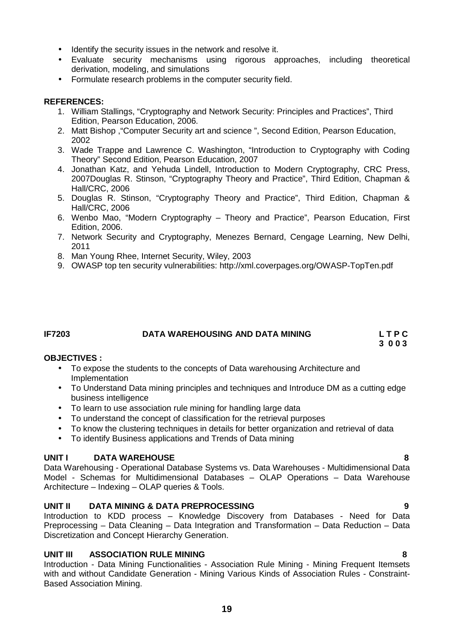- Identify the security issues in the network and resolve it.
- Evaluate security mechanisms using rigorous approaches, including theoretical derivation, modeling, and simulations
- Formulate research problems in the computer security field.

- 1. William Stallings, "Cryptography and Network Security: Principles and Practices", Third Edition, Pearson Education, 2006.
- 2. Matt Bishop ,"Computer Security art and science ", Second Edition, Pearson Education, 2002
- 3. Wade Trappe and Lawrence C. Washington, "Introduction to Cryptography with Coding Theory" Second Edition, Pearson Education, 2007
- 4. Jonathan Katz, and Yehuda Lindell, Introduction to Modern Cryptography, CRC Press, 2007Douglas R. Stinson, "Cryptography Theory and Practice", Third Edition, Chapman & Hall/CRC, 2006
- 5. Douglas R. Stinson, "Cryptography Theory and Practice", Third Edition, Chapman & Hall/CRC, 2006
- 6. Wenbo Mao, "Modern Cryptography Theory and Practice", Pearson Education, First Edition, 2006.
- 7. Network Security and Cryptography, Menezes Bernard, Cengage Learning, New Delhi, 2011
- 8. Man Young Rhee, Internet Security, Wiley, 2003
- 9. OWASP top ten security vulnerabilities: http://xml.coverpages.org/OWASP-TopTen.pdf

## **IF7203 DATA WAREHOUSING AND DATA MINING L T P C**

**3 0 0 3**

## **OBJECTIVES :**

- To expose the students to the concepts of Data warehousing Architecture and Implementation
- To Understand Data mining principles and techniques and Introduce DM as a cutting edge business intelligence
- To learn to use association rule mining for handling large data
- To understand the concept of classification for the retrieval purposes
- To know the clustering techniques in details for better organization and retrieval of data
- To identify Business applications and Trends of Data mining

## **UNIT I DATA WAREHOUSE 8**

Data Warehousing - Operational Database Systems vs. Data Warehouses - Multidimensional Data Model - Schemas for Multidimensional Databases – OLAP Operations – Data Warehouse Architecture – Indexing – OLAP queries & Tools.

## **UNIT II DATA MINING & DATA PREPROCESSING 9**

Introduction to KDD process – Knowledge Discovery from Databases - Need for Data Preprocessing – Data Cleaning – Data Integration and Transformation – Data Reduction – Data Discretization and Concept Hierarchy Generation.

## **UNIT III ASSOCIATION RULE MINING 8**

Introduction - Data Mining Functionalities - Association Rule Mining - Mining Frequent Itemsets with and without Candidate Generation - Mining Various Kinds of Association Rules - Constraint- Based Association Mining.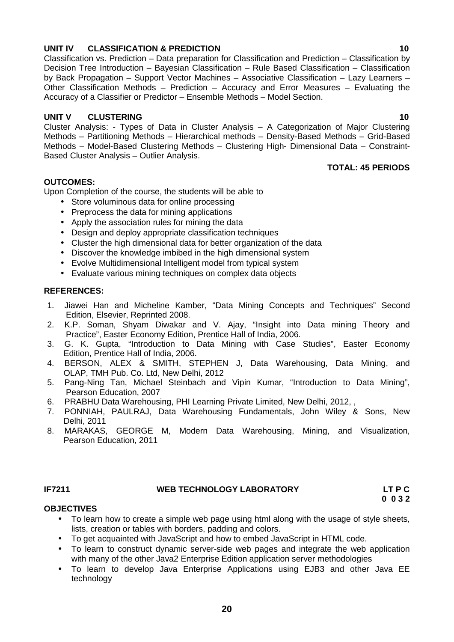## **20**

## **UNIT IV CLASSIFICATION & PREDICTION 10**

Classification vs. Prediction – Data preparation for Classification and Prediction – Classification by Decision Tree Introduction – Bayesian Classification – Rule Based Classification – Classification by Back Propagation – Support Vector Machines – Associative Classification – Lazy Learners – Other Classification Methods – Prediction – Accuracy and Error Measures – Evaluating the Accuracy of a Classifier or Predictor – Ensemble Methods – Model Section.

## **UNIT V CLUSTERING 10**

Cluster Analysis: - Types of Data in Cluster Analysis – A Categorization of Major Clustering Methods – Partitioning Methods – Hierarchical methods – Density-Based Methods – Grid-Based Methods – Model-Based Clustering Methods – Clustering High- Dimensional Data – Constraint- Based Cluster Analysis – Outlier Analysis.

**TOTAL: 45 PERIODS**

## **OUTCOMES:**

Upon Completion of the course, the students will be able to

- Store voluminous data for online processing
- Preprocess the data for mining applications
- Apply the association rules for mining the data
- Design and deploy appropriate classification techniques
- Cluster the high dimensional data for better organization of the data
- Discover the knowledge imbibed in the high dimensional system
- Evolve Multidimensional Intelligent model from typical system
- Evaluate various mining techniques on complex data objects

## **REFERENCES:**

- 1. Jiawei Han and Micheline Kamber, "Data Mining Concepts and Techniques" Second Edition, Elsevier, Reprinted 2008.
- 2. K.P. Soman, Shyam Diwakar and V. Ajay, "Insight into Data mining Theory and Practice", Easter Economy Edition, Prentice Hall of India, 2006.
- 3. G. K. Gupta, "Introduction to Data Mining with Case Studies", Easter Economy Edition, Prentice Hall of India, 2006.
- 4. BERSON, ALEX & SMITH, STEPHEN J, Data Warehousing, Data Mining, and OLAP, TMH Pub. Co. Ltd, New Delhi, 2012
- 5. Pang-Ning Tan, Michael Steinbach and Vipin Kumar, "Introduction to Data Mining", Pearson Education, 2007
- 6. PRABHU Data Warehousing, PHI Learning Private Limited, New Delhi, 2012, ,
- 7. PONNIAH, PAULRAJ, Data Warehousing Fundamentals, John Wiley & Sons, New Delhi, 2011
- 8. MARAKAS, GEORGE M, Modern Data Warehousing, Mining, and Visualization, Pearson Education, 2011

## **IF7211 WEB TECHNOLOGY LABORATORY LT P C**

## **OBJECTIVES**

- To learn how to create a simple web page using html along with the usage of style sheets, lists, creation or tables with borders, padding and colors.
- To get acquainted with JavaScript and how to embed JavaScript in HTML code.
- To learn to construct dynamic server-side web pages and integrate the web application with many of the other Java2 Enterprise Edition application server methodologies
- To learn to develop Java Enterprise Applications using EJB3 and other Java EE technology

**0 0 3 2**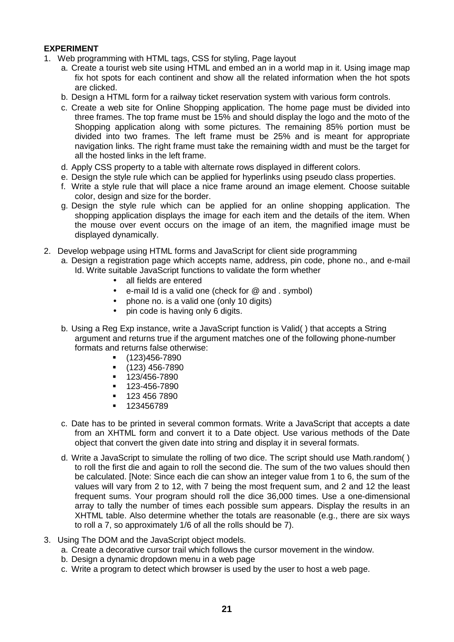## **EXPERIMENT**

- 1. Web programming with HTML tags, CSS for styling, Page layout
	- a. Create a tourist web site using HTML and embed an in a world map in it. Using image map fix hot spots for each continent and show all the related information when the hot spots are clicked.
	- b. Design a HTML form for a railway ticket reservation system with various form controls.
	- c. Create a web site for Online Shopping application. The home page must be divided into three frames. The top frame must be 15% and should display the logo and the moto of the Shopping application along with some pictures. The remaining 85% portion must be divided into two frames. The left frame must be 25% and is meant for appropriate navigation links. The right frame must take the remaining width and must be the target for all the hosted links in the left frame.
	- d. Apply CSS property to a table with alternate rows displayed in different colors.
	- e. Design the style rule which can be applied for hyperlinks using pseudo class properties.
	- f. Write a style rule that will place a nice frame around an image element. Choose suitable color, design and size for the border.
	- g. Design the style rule which can be applied for an online shopping application. The shopping application displays the image for each item and the details of the item. When the mouse over event occurs on the image of an item, the magnified image must be displayed dynamically.
- 2. Develop webpage using HTML forms and JavaScript for client side programming
	- a. Design a registration page which accepts name, address, pin code, phone no., and e-mail Id. Write suitable JavaScript functions to validate the form whether
		- all fields are entered
		- e-mail Id is a valid one (check for @ and . symbol)
		- phone no. is a valid one (only 10 digits)
		- pin code is having only 6 digits.
	- b. Using a Reg Exp instance, write a JavaScript function is Valid( ) that accepts a String argument and returns true if the argument matches one of the following phone-number formats and returns false otherwise:
		- (123)456-7890
		- $(123)$  456-7890
		- $-123/456 7890$
		- 123-456-7890
		- 123 456 7890
		- 123456789
	- c. Date has to be printed in several common formats. Write a JavaScript that accepts a date from an XHTML form and convert it to a Date object. Use various methods of the Date object that convert the given date into string and display it in several formats.
	- d. Write a JavaScript to simulate the rolling of two dice. The script should use Math.random( ) to roll the first die and again to roll the second die. The sum of the two values should then be calculated. [Note: Since each die can show an integer value from 1 to 6, the sum of the values will vary from 2 to 12, with 7 being the most frequent sum, and 2 and 12 the least frequent sums. Your program should roll the dice 36,000 times. Use a one-dimensional array to tally the number of times each possible sum appears. Display the results in an XHTML table. Also determine whether the totals are reasonable (e.g., there are six ways to roll a 7, so approximately 1/6 of all the rolls should be 7).
- 3. Using The DOM and the JavaScript object models.
	- a. Create a decorative cursor trail which follows the cursor movement in the window.
	- b. Design a dynamic dropdown menu in a web page
	- c. Write a program to detect which browser is used by the user to host a web page.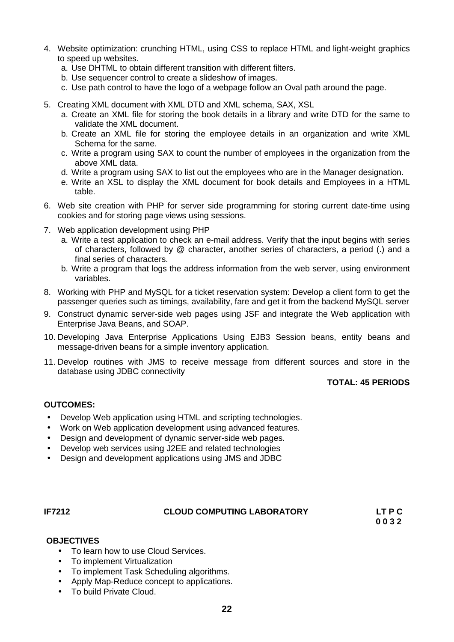- 4. Website optimization: crunching HTML, using CSS to replace HTML and light-weight graphics to speed up websites.
	- a. Use DHTML to obtain different transition with different filters.
	- b. Use sequencer control to create a slideshow of images.
	- c. Use path control to have the logo of a webpage follow an Oval path around the page.
- 5. Creating XML document with XML DTD and XML schema, SAX, XSL
	- a. Create an XML file for storing the book details in a library and write DTD for the same to validate the XML document.
	- b. Create an XML file for storing the employee details in an organization and write XML Schema for the same.
	- c. Write a program using SAX to count the number of employees in the organization from the above XML data.
	- d. Write a program using SAX to list out the employees who are in the Manager designation.
	- e. Write an XSL to display the XML document for book details and Employees in a HTML table.
- 6. Web site creation with PHP for server side programming for storing current date-time using cookies and for storing page views using sessions.
- 7. Web application development using PHP
	- a. Write a test application to check an e-mail address. Verify that the input begins with series of characters, followed by @ character, another series of characters, a period (.) and a final series of characters.
	- b. Write a program that logs the address information from the web server, using environment variables.
- 8. Working with PHP and MySQL for a ticket reservation system: Develop a client form to get the passenger queries such as timings, availability, fare and get it from the backend MySQL server
- 9. Construct dynamic server-side web pages using JSF and integrate the Web application with Enterprise Java Beans, and SOAP.
- 10. Developing Java Enterprise Applications Using EJB3 Session beans, entity beans and message-driven beans for a simple inventory application.
- 11. Develop routines with JMS to receive message from different sources and store in the database using JDBC connectivity

## **TOTAL: 45 PERIODS**

## **OUTCOMES:**

- Develop Web application using HTML and scripting technologies.
- Work on Web application development using advanced features.
- Design and development of dynamic server-side web pages.
- Develop web services using J2EE and related technologies
- Design and development applications using JMS and JDBC

### **IF7212 CLOUD COMPUTING LABORATORY LT P C**

**0 0 3 2**

## **OBJECTIVES**

- To learn how to use Cloud Services.
- To implement Virtualization
- To implement Task Scheduling algorithms.
- Apply Map-Reduce concept to applications.
- To build Private Cloud.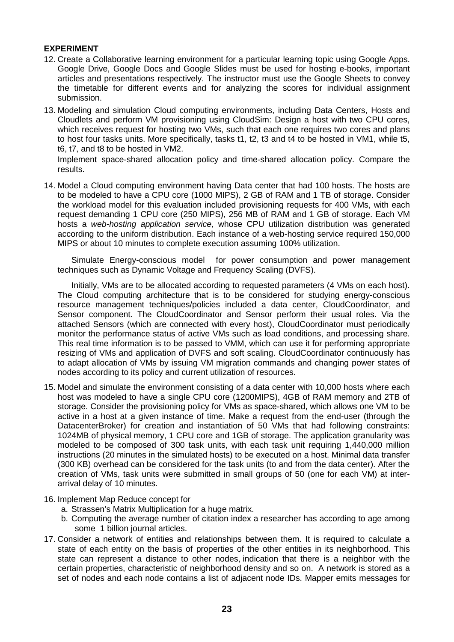## **EXPERIMENT**

- 12. Create a Collaborative learning environment for a particular learning topic using Google Apps. Google Drive, Google Docs and Google Slides must be used for hosting e-books, important articles and presentations respectively. The instructor must use the Google Sheets to convey the timetable for different events and for analyzing the scores for individual assignment submission.
- 13. Modeling and simulation Cloud computing environments, including Data Centers, Hosts and Cloudlets and perform VM provisioning using CloudSim: Design a host with two CPU cores, which receives request for hosting two VMs, such that each one requires two cores and plans to host four tasks units. More specifically, tasks t1, t2, t3 and t4 to be hosted in VM1, while t5, t6, t7, and t8 to be hosted in VM2.

Implement space-shared allocation policy and time-shared allocation policy. Compare the results.

14. Model a Cloud computing environment having Data center that had 100 hosts. The hosts are to be modeled to have a CPU core (1000 MIPS), 2 GB of RAM and 1 TB of storage. Consider the workload model for this evaluation included provisioning requests for 400 VMs, with each request demanding 1 CPU core (250 MIPS), 256 MB of RAM and 1 GB of storage. Each VM hosts a *web-hosting application service*, whose CPU utilization distribution was generated according to the uniform distribution. Each instance of a web-hosting service required 150,000 MIPS or about 10 minutes to complete execution assuming 100% utilization.

Simulate Energy-conscious model for power consumption and power management techniques such as Dynamic Voltage and Frequency Scaling (DVFS).

Initially, VMs are to be allocated according to requested parameters (4 VMs on each host). The Cloud computing architecture that is to be considered for studying energy-conscious resource management techniques/policies included a data center, CloudCoordinator, and Sensor component. The CloudCoordinator and Sensor perform their usual roles. Via the attached Sensors (which are connected with every host), CloudCoordinator must periodically monitor the performance status of active VMs such as load conditions, and processing share. This real time information is to be passed to VMM, which can use it for performing appropriate resizing of VMs and application of DVFS and soft scaling. CloudCoordinator continuously has to adapt allocation of VMs by issuing VM migration commands and changing power states of nodes according to its policy and current utilization of resources.

- 15. Model and simulate the environment consisting of a data center with 10,000 hosts where each host was modeled to have a single CPU core (1200MIPS), 4GB of RAM memory and 2TB of storage. Consider the provisioning policy for VMs as space-shared, which allows one VM to be active in a host at a given instance of time. Make a request from the end-user (through the DatacenterBroker) for creation and instantiation of 50 VMs that had following constraints: 1024MB of physical memory, 1 CPU core and 1GB of storage. The application granularity was modeled to be composed of 300 task units, with each task unit requiring 1,440,000 million instructions (20 minutes in the simulated hosts) to be executed on a host. Minimal data transfer (300 KB) overhead can be considered for the task units (to and from the data center). After the creation of VMs, task units were submitted in small groups of 50 (one for each VM) at inter arrival delay of 10 minutes.
- 16. Implement Map Reduce concept for
	- a. Strassen's Matrix Multiplication for a huge matrix.
	- b. Computing the average number of citation index a researcher has according to age among some 1 billion journal articles.
- 17. Consider a network of entities and relationships between them. It is required to calculate a state of each entity on the basis of properties of the other entities in its neighborhood. This state can represent a distance to other nodes, indication that there is a neighbor with the certain properties, characteristic of neighborhood density and so on. A network is stored as a set of nodes and each node contains a list of adjacent node IDs. Mapper emits messages for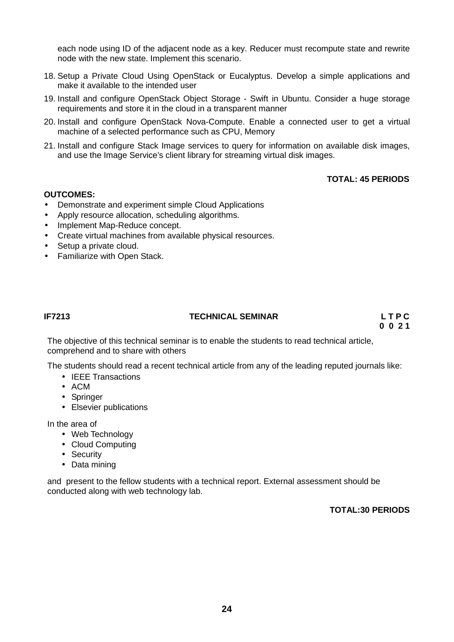each node using ID of the adjacent node as a key. Reducer must recompute state and rewrite node with the new state. Implement this scenario.

- 18. Setup a Private Cloud Using OpenStack or Eucalyptus. Develop a simple applications and make it available to the intended user
- 19. Install and configure OpenStack Object Storage Swift in Ubuntu. Consider a huge storage requirements and store it in the cloud in a transparent manner
- 20. Install and configure OpenStack Nova-Compute. Enable a connected user to get a virtual machine of a selected performance such as CPU, Memory
- 21. Install and configure Stack Image services to query for information on available disk images, and use the Image Service's client library for streaming virtual disk images.

## **TOTAL: 45 PERIODS**

## **OUTCOMES:**

- Demonstrate and experiment simple Cloud Applications
- Apply resource allocation, scheduling algorithms.
- Implement Map-Reduce concept.
- Create virtual machines from available physical resources.
- Setup a private cloud.
- Familiarize with Open Stack.

## **IF7213 TECHNICAL SEMINAR L T P C**

**0 0 2 1**

The objective of this technical seminar is to enable the students to read technical article, comprehend and to share with others

The students should read a recent technical article from any of the leading reputed journals like:

- IEEE Transactions
- ACM
- Springer
- Elsevier publications

In the area of

- Web Technology
- Cloud Computing
- Security
- Data mining

and present to the fellow students with a technical report. External assessment should be conducted along with web technology lab.

## **TOTAL:30 PERIODS**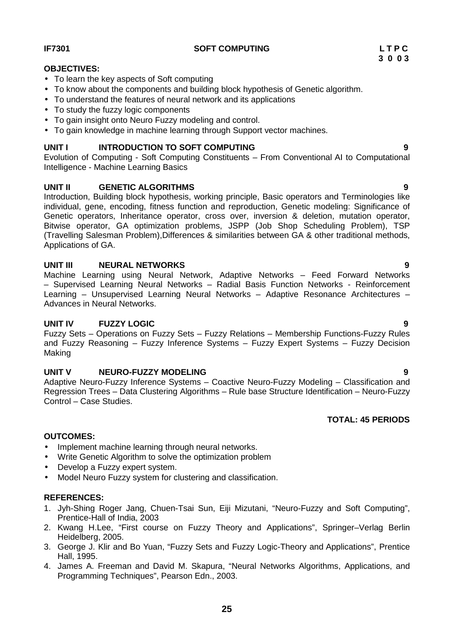## **IF7301 SOFT COMPUTING L T P C**

## **OBJECTIVES:**

- To learn the key aspects of Soft computing
- To know about the components and building block hypothesis of Genetic algorithm.
- To understand the features of neural network and its applications
- To study the fuzzy logic components
- To gain insight onto Neuro Fuzzy modeling and control.
- To gain knowledge in machine learning through Support vector machines.

## **UNIT I INTRODUCTION TO SOFT COMPUTING 9**

Evolution of Computing - Soft Computing Constituents – From Conventional AI to Computational Intelligence - Machine Learning Basics

## **UNIT II GENETIC ALGORITHMS 9**

Introduction, Building block hypothesis, working principle, Basic operators and Terminologies like individual, gene, encoding, fitness function and reproduction, Genetic modeling: Significance of Genetic operators, Inheritance operator, cross over, inversion & deletion, mutation operator, Bitwise operator, GA optimization problems, JSPP (Job Shop Scheduling Problem), TSP (Travelling Salesman Problem),Differences & similarities between GA & other traditional methods, Applications of GA.

## **UNIT III NEURAL NETWORKS 9**

Machine Learning using Neural Network, Adaptive Networks – Feed Forward Networks – Supervised Learning Neural Networks – Radial Basis Function Networks - Reinforcement Learning – Unsupervised Learning Neural Networks – Adaptive Resonance Architectures – Advances in Neural Networks.

## **UNIT IV FUZZY LOGIC 9**

Fuzzy Sets – Operations on Fuzzy Sets – Fuzzy Relations – Membership Functions-Fuzzy Rules and Fuzzy Reasoning – Fuzzy Inference Systems – Fuzzy Expert Systems – Fuzzy Decision Making

## **UNIT V NEURO-FUZZY MODELING 9**

Adaptive Neuro-Fuzzy Inference Systems – Coactive Neuro-Fuzzy Modeling – Classification and Regression Trees – Data Clustering Algorithms – Rule base Structure Identification – Neuro-Fuzzy Control – Case Studies.

### **OUTCOMES:**

- Implement machine learning through neural networks.
- Write Genetic Algorithm to solve the optimization problem
- Develop a Fuzzy expert system.
- Model Neuro Fuzzy system for clustering and classification.

### **REFERENCES:**

- 1. Jyh-Shing Roger Jang, Chuen-Tsai Sun, Eiji Mizutani, "Neuro-Fuzzy and Soft Computing", Prentice-Hall of India, 2003
- 2. Kwang H.Lee, "First course on Fuzzy Theory and Applications", Springer–Verlag Berlin Heidelberg, 2005.
- 3. George J. Klir and Bo Yuan, "Fuzzy Sets and Fuzzy Logic-Theory and Applications", Prentice Hall, 1995.
- 4. James A. Freeman and David M. Skapura, "Neural Networks Algorithms, Applications, and Programming Techniques", Pearson Edn., 2003.

## **TOTAL: 45 PERIODS**

**3 0 0 3**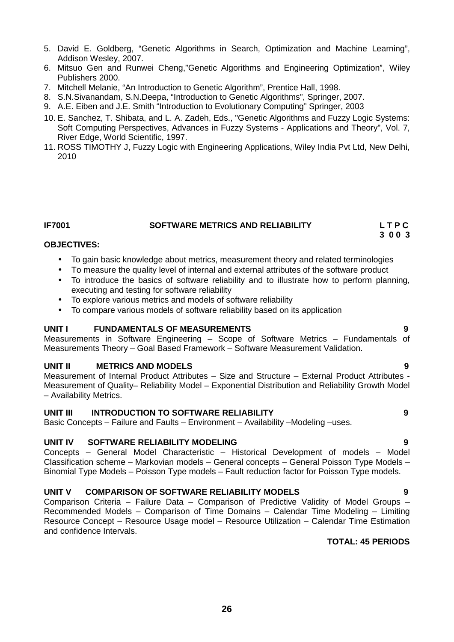**26**

- 5. David E. Goldberg, "Genetic Algorithms in Search, Optimization and Machine Learning", Addison Wesley, 2007.
- 6. Mitsuo Gen and Runwei Cheng,"Genetic Algorithms and Engineering Optimization", Wiley Publishers 2000.
- 7. Mitchell Melanie, "An Introduction to Genetic Algorithm", Prentice Hall, 1998.
- 8. S.N.Sivanandam, S.N.Deepa, "Introduction to Genetic Algorithms", Springer, 2007.
- 9. A.E. Eiben and J.E. Smith "Introduction to Evolutionary Computing" Springer, 2003
- 10. E. Sanchez, T. Shibata, and L. A. Zadeh, Eds., "Genetic Algorithms and Fuzzy Logic Systems: Soft Computing Perspectives, Advances in Fuzzy Systems - Applications and Theory", Vol. 7, River Edge, World Scientific, 1997.
- 11. ROSS TIMOTHY J, Fuzzy Logic with Engineering Applications, Wiley India Pvt Ltd, New Delhi, 2010

## **IF7001 SOFTWARE METRICS AND RELIABILITY L T P C**

**3 0 0 3**

### **OBJECTIVES:**

- To gain basic knowledge about metrics, measurement theory and related terminologies
- To measure the quality level of internal and external attributes of the software product
- To introduce the basics of software reliability and to illustrate how to perform planning, executing and testing for software reliability
- To explore various metrics and models of software reliability
- To compare various models of software reliability based on its application

### **UNIT I FUNDAMENTALS OF MEASUREMENTS 9**

Measurements in Software Engineering – Scope of Software Metrics – Fundamentals of Measurements Theory – Goal Based Framework – Software Measurement Validation.

### **UNIT II METRICS AND MODELS 9**

Measurement of Internal Product Attributes – Size and Structure – External Product Attributes - Measurement of Quality– Reliability Model – Exponential Distribution and Reliability Growth Model – Availability Metrics.

## **UNIT III INTRODUCTION TO SOFTWARE RELIABILITY 9**

Basic Concepts – Failure and Faults – Environment – Availability –Modeling –uses.

### **UNIT IV SOFTWARE RELIABILITY MODELING 9**

Concepts – General Model Characteristic – Historical Development of models – Model Classification scheme – Markovian models – General concepts – General Poisson Type Models – Binomial Type Models – Poisson Type models – Fault reduction factor for Poisson Type models.

### **UNIT V COMPARISON OF SOFTWARE RELIABILITY MODELS 9**

Comparison Criteria – Failure Data – Comparison of Predictive Validity of Model Groups – Recommended Models – Comparison of Time Domains – Calendar Time Modeling – Limiting Resource Concept – Resource Usage model – Resource Utilization – Calendar Time Estimation and confidence Intervals.

## **TOTAL: 45 PERIODS**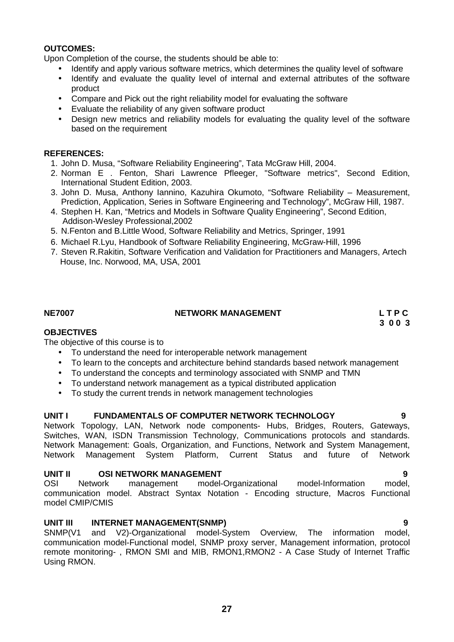## **OUTCOMES:**

Upon Completion of the course, the students should be able to:

- Identify and apply various software metrics, which determines the quality level of software
- Identify and evaluate the quality level of internal and external attributes of the software product
- Compare and Pick out the right reliability model for evaluating the software
- Evaluate the reliability of any given software product
- Design new metrics and reliability models for evaluating the quality level of the software based on the requirement

## **REFERENCES:**

- 1. John D. Musa, "Software Reliability Engineering", Tata McGraw Hill, 2004.
- 2. Norman E . Fenton, Shari Lawrence Pfleeger, "Software metrics", Second Edition, International Student Edition, 2003.
- 3. John D. Musa, Anthony Iannino, Kazuhira Okumoto, "Software Reliability Measurement, Prediction, Application, Series in Software Engineering and Technology", McGraw Hill, 1987.
- 4. Stephen H. Kan, "Metrics and Models in Software Quality Engineering", Second Edition, Addison-Wesley Professional,2002
- 5. N.Fenton and B.Little Wood, Software Reliability and Metrics, Springer, 1991
- 6. Michael R.Lyu, Handbook of Software Reliability Engineering, McGraw-Hill, 1996
- 7. Steven R.Rakitin, Software Verification and Validation for Practitioners and Managers, Artech House, Inc. Norwood, MA, USA, 2001

### **NE7007 NETWORK MANAGEMENT L T P C**

**3 0 0 3**

## **OBJECTIVES**

The objective of this course is to

- To understand the need for interoperable network management
- To learn to the concepts and architecture behind standards based network management
- To understand the concepts and terminology associated with SNMP and TMN
- To understand network management as a typical distributed application
- To study the current trends in network management technologies

### **UNIT I FUNDAMENTALS OF COMPUTER NETWORK TECHNOLOGY 9**

Network Topology, LAN, Network node components- Hubs, Bridges, Routers, Gateways, Switches, WAN, ISDN Transmission Technology, Communications protocols and standards. Network Management: Goals, Organization, and Functions, Network and System Management,<br>Network Management System Platform. Current Status and future of Network Management System Platform, Current Status and future of Network

**UNIT II OSI NETWORK MANAGEMENT**<br>
OSI Network management model-Organizational model-Information model. OSI Network management model-Organizational model-Information model, communication model. Abstract Syntax Notation - Encoding structure, Macros Functional model CMIP/CMIS

**UNIT III INTERNET MANAGEMENT(SNMP)**<br>SNMP(V1 and V2)-Organizational model-System Overview. The information model. and V2)-Organizational model-System Overview. The information model, communication model-Functional model, SNMP proxy server, Management information, protocol remote monitoring- , RMON SMI and MIB, RMON1,RMON2 - A Case Study of Internet Traffic Using RMON.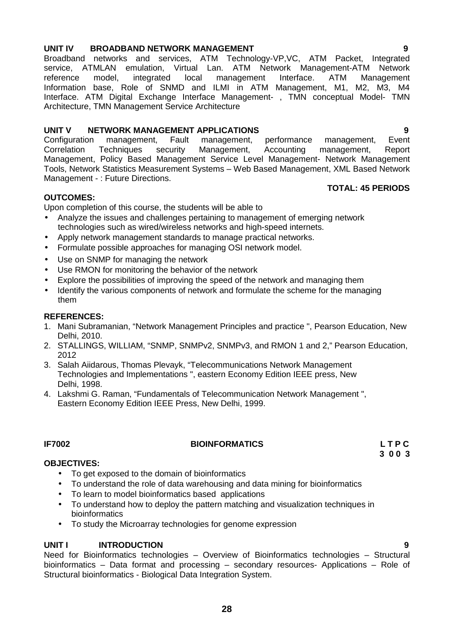## **UNIT IV BROADBAND NETWORK MANAGEMENT 9**

Broadband networks and services, ATM Technology-VP,VC, ATM Packet, Integrated service, ATMLAN emulation, Virtual Lan. ATM Network Management-ATM Network reference model, integrated local management Interface. ATM Management Information base, Role of SNMD and ILMI in ATM Management, M1, M2, M3, M4 Interface. ATM Digital Exchange Interface Management- , TMN conceptual Model- TMN Architecture, TMN Management Service Architecture

## **UNIT V NETWORK MANAGEMENT APPLICATIONS 9**

Configuration management, Fault management, performance management, Event Correlation Techniques security Management, Accounting management, Report Management, Policy Based Management Service Level Management- Network Management Tools, Network Statistics Measurement Systems – Web Based Management, XML Based Network Management - : Future Directions.

## **OUTCOMES:**

Upon completion of this course, the students will be able to

- Analyze the issues and challenges pertaining to management of emerging network technologies such as wired/wireless networks and high-speed internets.
- Apply network management standards to manage practical networks.
- Formulate possible approaches for managing OSI network model.
- Use on SNMP for managing the network
- Use RMON for monitoring the behavior of the network
- Explore the possibilities of improving the speed of the network and managing them
- Identify the various components of network and formulate the scheme for the managing them

## **REFERENCES:**

- 1. Mani Subramanian, "Network Management Principles and practice ", Pearson Education, New Delhi, 2010.
- 2. STALLINGS, WILLIAM, "SNMP, SNMPv2, SNMPv3, and RMON 1 and 2," Pearson Education, 2012
- 3. Salah Aiidarous, Thomas Plevayk, "Telecommunications Network Management Technologies and Implementations ", eastern Economy Edition IEEE press, New Delhi, 1998.
- 4. Lakshmi G. Raman, "Fundamentals of Telecommunication Network Management ", Eastern Economy Edition IEEE Press, New Delhi, 1999.

## **OBJECTIVES:**

- To get exposed to the domain of bioinformatics
- To understand the role of data warehousing and data mining for bioinformatics
- To learn to model bioinformatics based applications<br>• To understand how to deploy the pattern matching a
- To understand how to deploy the pattern matching and visualization techniques in bioinformatics
- To study the Microarray technologies for genome expression

### **UNIT I INTRODUCTION 9**

Need for Bioinformatics technologies – Overview of Bioinformatics technologies – Structural bioinformatics – Data format and processing – secondary resources- Applications – Role of Structural bioinformatics - Biological Data Integration System.

## **TOTAL: 45 PERIODS**

**IF7002 BIOINFORMATICS L T P C 3 0 0 3**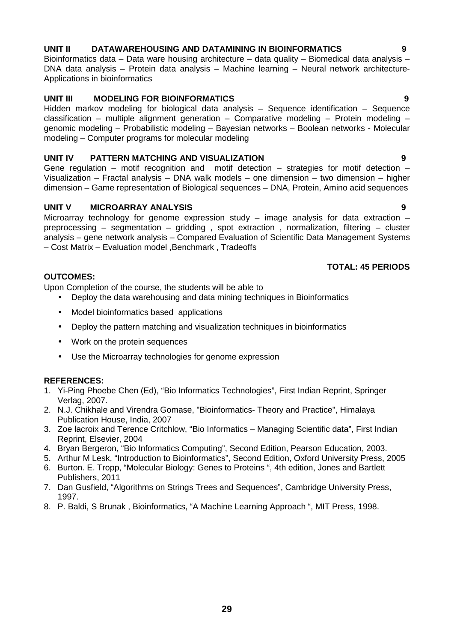## **29**

## **UNIT II DATAWAREHOUSING AND DATAMINING IN BIOINFORMATICS 9**

Bioinformatics data – Data ware housing architecture – data quality – Biomedical data analysis – DNA data analysis – Protein data analysis – Machine learning – Neural network architecture- Applications in bioinformatics

## **UNIT III MODELING FOR BIOINFORMATICS 9**

Hidden markov modeling for biological data analysis – Sequence identification – Sequence classification – multiple alignment generation – Comparative modeling – Protein modeling – genomic modeling – Probabilistic modeling – Bayesian networks – Boolean networks - Molecular modeling – Computer programs for molecular modeling

## **UNIT IV PATTERN MATCHING AND VISUALIZATION 9**

Gene regulation – motif recognition and motif detection – strategies for motif detection – Visualization – Fractal analysis – DNA walk models – one dimension – two dimension – higher dimension – Game representation of Biological sequences – DNA, Protein, Amino acid sequences

## **UNIT V MICROARRAY ANALYSIS 9**

Microarray technology for genome expression study  $-$  image analysis for data extraction  $$ preprocessing – segmentation – gridding , spot extraction , normalization, filtering – cluster analysis – gene network analysis – Compared Evaluation of Scientific Data Management Systems – Cost Matrix – Evaluation model ,Benchmark , Tradeoffs

## **TOTAL: 45 PERIODS**

## **OUTCOMES:**

Upon Completion of the course, the students will be able to

- Deploy the data warehousing and data mining techniques in Bioinformatics
- Model bioinformatics based applications
- Deploy the pattern matching and visualization techniques in bioinformatics
- Work on the protein sequences
- Use the Microarray technologies for genome expression

## **REFERENCES:**

- 1. Yi-Ping Phoebe Chen (Ed), "Bio Informatics Technologies", First Indian Reprint, Springer Verlag, 2007.
- 2. N.J. Chikhale and Virendra Gomase, "Bioinformatics- Theory and Practice", Himalaya Publication House, India, 2007
- 3. Zoe lacroix and Terence Critchlow, "Bio Informatics Managing Scientific data", First Indian Reprint, Elsevier, 2004
- 4. Bryan Bergeron, "Bio Informatics Computing", Second Edition, Pearson Education, 2003.
- 5. Arthur M Lesk, "Introduction to Bioinformatics", Second Edition, Oxford University Press, 2005
- 6. Burton. E. Tropp, "Molecular Biology: Genes to Proteins ", 4th edition, Jones and Bartlett Publishers, 2011
- 7. Dan Gusfield, "Algorithms on Strings Trees and Sequences", Cambridge University Press, 1997.
- 8. P. Baldi, S Brunak , Bioinformatics, "A Machine Learning Approach ", MIT Press, 1998.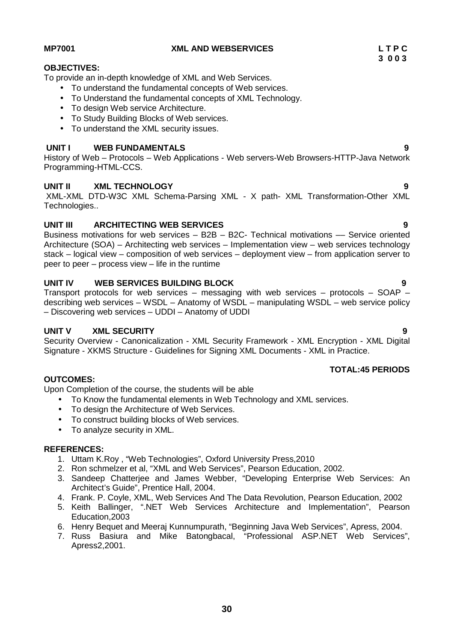### To understand the fundamental concepts of Web services.

- To Understand the fundamental concepts of XML Technology.
- To design Web service Architecture.
- To Study Building Blocks of Web services.

To provide an in-depth knowledge of XML and Web Services.

• To understand the XML security issues.

## **UNIT I WEB FUNDAMENTALS 9**

History of Web – Protocols – Web Applications - Web servers-Web Browsers-HTTP-Java Network Programming-HTML-CCS.

## **UNIT II XML TECHNOLOGY 9**

XML-XML DTD-W3C XML Schema-Parsing XML - X path- XML Transformation-Other XML Technologies..

## **UNIT III ARCHITECTING WEB SERVICES 9**

Business motivations for web services  $-$  B2B  $-$  B2C- Technical motivations  $-$  Service oriented Architecture (SOA) – Architecting web services – Implementation view – web services technology stack – logical view – composition of web services – deployment view – from application server to peer to peer – process view – life in the runtime

## **UNIT IV WEB SERVICES BUILDING BLOCK 9**

Transport protocols for web services – messaging with web services – protocols – SOAP – describing web services – WSDL – Anatomy of WSDL – manipulating WSDL – web service policy – Discovering web services – UDDI – Anatomy of UDDI

### **UNIT V XML SECURITY 9**

Security Overview - Canonicalization - XML Security Framework - XML Encryption - XML Digital Signature - XKMS Structure - Guidelines for Signing XML Documents - XML in Practice.

## **OUTCOMES:**

Upon Completion of the course, the students will be able

- To Know the fundamental elements in Web Technology and XML services.
- To design the Architecture of Web Services.
- To construct building blocks of Web services.
- To analyze security in XML.

### **REFERENCES:**

- 1. Uttam K.Roy , "Web Technologies", Oxford University Press,2010
- 2. Ron schmelzer et al, "XML and Web Services", Pearson Education, 2002.
- 3. Sandeep Chatterjee and James Webber, "Developing Enterprise Web Services: An Architect's Guide", Prentice Hall, 2004.
- 4. Frank. P. Coyle, XML, Web Services And The Data Revolution, Pearson Education, 2002
- 5. Keith Ballinger, ".NET Web Services Architecture and Implementation", Pearson Education,2003
- 6. Henry Bequet and Meeraj Kunnumpurath, "Beginning Java Web Services", Apress, 2004.
- 7. Russ Basiura and Mike Batongbacal, "Professional ASP.NET Web Services", Apress2,2001.

**OBJECTIVES:**

**TOTAL:45 PERIODS**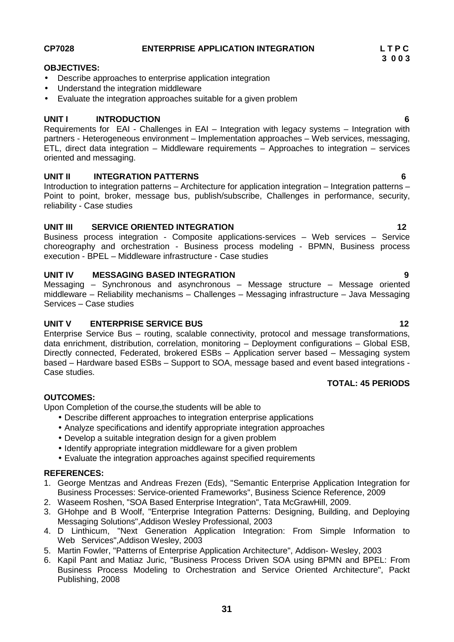## **CP7028 ENTERPRISE APPLICATION INTEGRATION L T P C**

## **OBJECTIVES:**

- Describe approaches to enterprise application integration
- Understand the integration middleware
- Evaluate the integration approaches suitable for a given problem

## **UNIT I INTRODUCTION 6**

Requirements for EAI - Challenges in EAI – Integration with legacy systems – Integration with partners - Heterogeneous environment – Implementation approaches – Web services, messaging, ETL, direct data integration – Middleware requirements – Approaches to integration – services oriented and messaging.

## **UNIT II INTEGRATION PATTERNS 6**

Introduction to integration patterns – Architecture for application integration – Integration patterns – Point to point, broker, message bus, publish/subscribe, Challenges in performance, security, reliability - Case studies

## **UNIT III SERVICE ORIENTED INTEGRATION 12**

Business process integration - Composite applications-services – Web services – Service choreography and orchestration - Business process modeling - BPMN, Business process execution - BPEL – Middleware infrastructure - Case studies

## **UNIT IV MESSAGING BASED INTEGRATION 9**

Messaging – Synchronous and asynchronous – Message structure – Message oriented middleware – Reliability mechanisms – Challenges – Messaging infrastructure – Java Messaging Services – Case studies

## **UNIT V ENTERPRISE SERVICE BUS 12**

Enterprise Service Bus – routing, scalable connectivity, protocol and message transformations, data enrichment, distribution, correlation, monitoring – Deployment configurations – Global ESB, Directly connected, Federated, brokered ESBs – Application server based – Messaging system based – Hardware based ESBs – Support to SOA, message based and event based integrations - Case studies.

## **OUTCOMES:**

Upon Completion of the course,the students will be able to

- Describe different approaches to integration enterprise applications
- Analyze specifications and identify appropriate integration approaches
- Develop a suitable integration design for a given problem
- Identify appropriate integration middleware for a given problem
- Evaluate the integration approaches against specified requirements

## **REFERENCES:**

- 1. George Mentzas and Andreas Frezen (Eds), "Semantic Enterprise Application Integration for Business Processes: Service-oriented Frameworks", Business Science Reference, 2009
- 2. Waseem Roshen, "SOA Based Enterprise Integration", Tata McGrawHill, 2009.
- 3. GHohpe and B Woolf, "Enterprise Integration Patterns: Designing, Building, and Deploying Messaging Solutions",Addison Wesley Professional, 2003
- 4. D Linthicum, "Next Generation Application Integration: From Simple Information to Web Services",Addison Wesley, 2003
- 5. Martin Fowler, "Patterns of Enterprise Application Architecture", Addison- Wesley, 2003
- 6. Kapil Pant and Matiaz Juric, "Business Process Driven SOA using BPMN and BPEL: From Business Process Modeling to Orchestration and Service Oriented Architecture", Packt Publishing, 2008

**TOTAL: 45 PERIODS**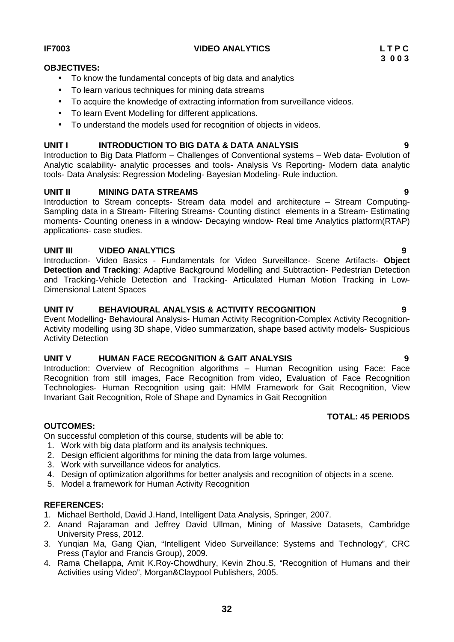## **IF7003 VIDEO ANALYTICS L T P C**

## **OBJECTIVES:**

- To know the fundamental concepts of big data and analytics
- To learn various techniques for mining data streams
- To acquire the knowledge of extracting information from surveillance videos.
- To learn Event Modelling for different applications.
- To understand the models used for recognition of objects in videos.

## **UNIT I INTRODUCTION TO BIG DATA & DATA ANALYSIS 9**

Introduction to Big Data Platform – Challenges of Conventional systems – Web data- Evolution of Analytic scalability- analytic processes and tools- Analysis Vs Reporting- Modern data analytic tools- Data Analysis: Regression Modeling- Bayesian Modeling- Rule induction.

## **UNIT II MINING DATA STREAMS 9**

Introduction to Stream concepts- Stream data model and architecture – Stream Computing- Sampling data in a Stream- Filtering Streams- Counting distinct elements in a Stream- Estimating moments- Counting oneness in a window- Decaying window- Real time Analytics platform(RTAP) applications- case studies.

## **UNIT III VIDEO ANALYTICS 9**

Introduction- Video Basics - Fundamentals for Video Surveillance- Scene Artifacts- **Object Detection and Tracking**: Adaptive Background Modelling and Subtraction- Pedestrian Detection and Tracking-Vehicle Detection and Tracking- Articulated Human Motion Tracking in Low- Dimensional Latent Spaces

## **UNIT IV BEHAVIOURAL ANALYSIS & ACTIVITY RECOGNITION 9**

Event Modelling- Behavioural Analysis- Human Activity Recognition-Complex Activity Recognition- Activity modelling using 3D shape, Video summarization, shape based activity models- Suspicious Activity Detection

## **UNIT V HUMAN FACE RECOGNITION & GAIT ANALYSIS 9**

Introduction: Overview of Recognition algorithms – Human Recognition using Face: Face Recognition from still images, Face Recognition from video, Evaluation of Face Recognition Technologies- Human Recognition using gait: HMM Framework for Gait Recognition, View Invariant Gait Recognition, Role of Shape and Dynamics in Gait Recognition

### **OUTCOMES:**

On successful completion of this course, students will be able to:

- 1. Work with big data platform and its analysis techniques.
- 2. Design efficient algorithms for mining the data from large volumes.
- 3. Work with surveillance videos for analytics.
- 4. Design of optimization algorithms for better analysis and recognition of objects in a scene.
- 5. Model a framework for Human Activity Recognition

## **REFERENCES:**

- 1. Michael Berthold, David J.Hand, Intelligent Data Analysis, Springer, 2007.
- 2. Anand Rajaraman and Jeffrey David Ullman, Mining of Massive Datasets, Cambridge University Press, 2012.
- 3. Yunqian Ma, Gang Qian, "Intelligent Video Surveillance: Systems and Technology", CRC Press (Taylor and Francis Group), 2009.
- 4. Rama Chellappa, Amit K.Roy-Chowdhury, Kevin Zhou.S, "Recognition of Humans and their Activities using Video", Morgan&Claypool Publishers, 2005.

## **TOTAL: 45 PERIODS**

**3 0 0 3**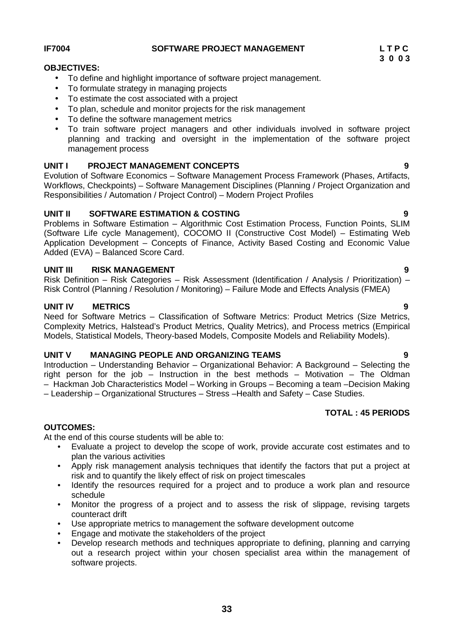## **33**

## **IF7004 SOFTWARE PROJECT MANAGEMENT L T P C**

## **OBJECTIVES:**

- To define and highlight importance of software project management.
- To formulate strategy in managing projects
- To estimate the cost associated with a project
- To plan, schedule and monitor projects for the risk management
- To define the software management metrics
- To train software project managers and other individuals involved in software project planning and tracking and oversight in the implementation of the software project management process

## **UNIT I PROJECT MANAGEMENT CONCEPTS 9**

Evolution of Software Economics – Software Management Process Framework (Phases, Artifacts, Workflows, Checkpoints) – Software Management Disciplines (Planning / Project Organization and Responsibilities / Automation / Project Control) – Modern Project Profiles

## **UNIT II SOFTWARE ESTIMATION & COSTING 9**

Problems in Software Estimation – Algorithmic Cost Estimation Process, Function Points, SLIM (Software Life cycle Management), COCOMO II (Constructive Cost Model) – Estimating Web Application Development – Concepts of Finance, Activity Based Costing and Economic Value Added (EVA) – Balanced Score Card.

## **UNIT III RISK MANAGEMENT 9**

Risk Definition – Risk Categories – Risk Assessment (Identification / Analysis / Prioritization) – Risk Control (Planning / Resolution / Monitoring) – Failure Mode and Effects Analysis (FMEA)

## **UNIT IV METRICS 9**

Need for Software Metrics – Classification of Software Metrics: Product Metrics (Size Metrics, Complexity Metrics, Halstead's Product Metrics, Quality Metrics), and Process metrics (Empirical Models, Statistical Models, Theory-based Models, Composite Models and Reliability Models).

## **UNIT V MANAGING PEOPLE AND ORGANIZING TEAMS 9**

Introduction – Understanding Behavior – Organizational Behavior: A Background – Selecting the right person for the job – Instruction in the best methods – Motivation – The Oldman – Hackman Job Characteristics Model – Working in Groups – Becoming a team –Decision Making – Leadership – Organizational Structures – Stress –Health and Safety – Case Studies.

## **TOTAL : 45 PERIODS**

## **OUTCOMES:**

At the end of this course students will be able to:

- Evaluate a project to develop the scope of work, provide accurate cost estimates and to plan the various activities
- Apply risk management analysis techniques that identify the factors that put a project at risk and to quantify the likely effect of risk on project timescales
- Identify the resources required for a project and to produce a work plan and resource schedule
- Monitor the progress of a project and to assess the risk of slippage, revising targets counteract drift
- Use appropriate metrics to management the software development outcome
- Engage and motivate the stakeholders of the project
- Develop research methods and techniques appropriate to defining, planning and carrying out a research project within your chosen specialist area within the management of software projects.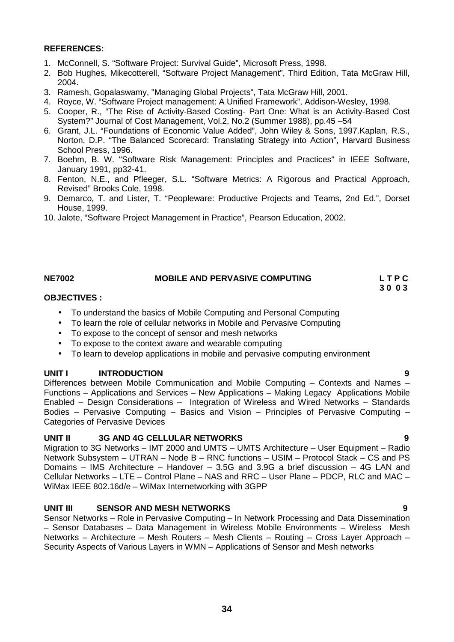- 1. McConnell, S. "Software Project: Survival Guide", Microsoft Press, 1998.
- 2. Bob Hughes, Mikecotterell, "Software Project Management", Third Edition, Tata McGraw Hill, 2004.
- 3. Ramesh, Gopalaswamy, "Managing Global Projects", Tata McGraw Hill, 2001.
- 4. Royce, W. "Software Project management: A Unified Framework", Addison-Wesley, 1998.
- 5. Cooper, R., "The Rise of Activity-Based Costing- Part One: What is an Activity-Based Cost System?" Journal of Cost Management, Vol.2, No.2 (Summer 1988), pp.45 –54
- 6. Grant, J.L. "Foundations of Economic Value Added", John Wiley & Sons, 1997.Kaplan, R.S., Norton, D.P. "The Balanced Scorecard: Translating Strategy into Action", Harvard Business School Press, 1996.
- 7. Boehm, B. W. "Software Risk Management: Principles and Practices" in IEEE Software, January 1991, pp32-41.
- 8. Fenton, N.E., and Pfleeger, S.L. "Software Metrics: A Rigorous and Practical Approach, Revised" Brooks Cole, 1998.
- 9. Demarco, T. and Lister, T. "Peopleware: Productive Projects and Teams, 2nd Ed.", Dorset House, 1999.
- 10. Jalote, "Software Project Management in Practice", Pearson Education, 2002.

## **NE7002 MOBILE AND PERVASIVE COMPUTING L T P C**

**3 0 0 3**

## **OBJECTIVES :**

- To understand the basics of Mobile Computing and Personal Computing
- To learn the role of cellular networks in Mobile and Pervasive Computing
- To expose to the concept of sensor and mesh networks
- To expose to the context aware and wearable computing
- To learn to develop applications in mobile and pervasive computing environment

## **UNIT I INTRODUCTION 9**

Differences between Mobile Communication and Mobile Computing – Contexts and Names – Functions – Applications and Services – New Applications – Making Legacy Applications Mobile Enabled – Design Considerations – Integration of Wireless and Wired Networks – Standards Bodies – Pervasive Computing – Basics and Vision – Principles of Pervasive Computing – Categories of Pervasive Devices

## **UNIT II 3G AND 4G CELLULAR NETWORKS 9**

Migration to 3G Networks – IMT 2000 and UMTS – UMTS Architecture – User Equipment – Radio Network Subsystem – UTRAN – Node B – RNC functions – USIM – Protocol Stack – CS and PS Domains – IMS Architecture – Handover – 3.5G and 3.9G a brief discussion – 4G LAN and Cellular Networks – LTE –Control Plane – NAS and RRC – User Plane – PDCP, RLC and MAC – WiMax IEEE 802.16d/e – WiMax Internetworking with 3GPP

## **UNIT III SENSOR AND MESH NETWORKS 9**

Sensor Networks – Role in Pervasive Computing – In Network Processing and Data Dissemination – Sensor Databases – Data Management in Wireless Mobile Environments – Wireless Mesh Networks – Architecture – Mesh Routers – Mesh Clients – Routing – Cross Layer Approach – Security Aspects of Various Layers in WMN – Applications of Sensor and Mesh networks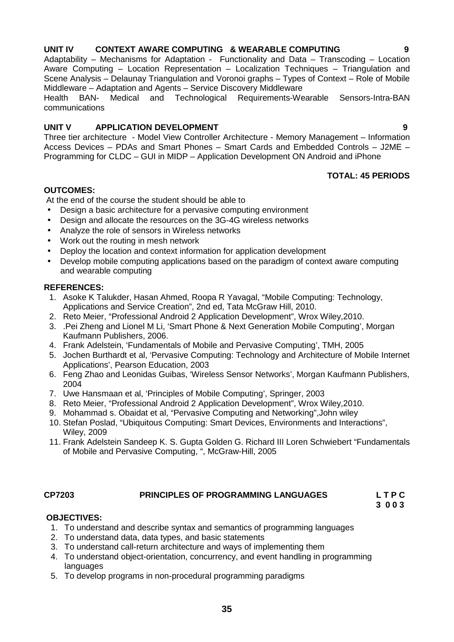## **UNIT IV CONTEXT AWARE COMPUTING & WEARABLE COMPUTING 9**

Adaptability – Mechanisms for Adaptation - Functionality and Data – Transcoding – Location Aware Computing – Location Representation – Localization Techniques – Triangulation and Scene Analysis – Delaunay Triangulation and Voronoi graphs – Types of Context – Role of Mobile Middleware – Adaptation and Agents – Service Discovery Middleware

and Technological Requirements-Wearable Sensors-Intra-BAN communications

## **UNIT V APPLICATION DEVELOPMENT 9**

Three tier architecture - Model View Controller Architecture - Memory Management – Information Access Devices – PDAs and Smart Phones – Smart Cards and Embedded Controls – J2ME – Programming for CLDC – GUI in MIDP – Application Development ON Android and iPhone

## **TOTAL: 45 PERIODS**

## **OUTCOMES:**

At the end of the course the student should be able to

- Design a basic architecture for a pervasive computing environment
- Design and allocate the resources on the 3G-4G wireless networks
- Analyze the role of sensors in Wireless networks
- Work out the routing in mesh network
- Deploy the location and context information for application development
- Develop mobile computing applications based on the paradigm of context aware computing and wearable computing

## **REFERENCES:**

- 1. Asoke K Talukder, Hasan Ahmed, Roopa R Yavagal, "Mobile Computing: Technology, Applications and Service Creation", 2nd ed, Tata McGraw Hill, 2010.
- 2. Reto Meier, "Professional Android 2 Application Development", Wrox Wiley,2010.
- 3. .Pei Zheng and Lionel M Li, 'Smart Phone & Next Generation Mobile Computing', Morgan Kaufmann Publishers, 2006.
- 4. Frank Adelstein, 'Fundamentals of Mobile and Pervasive Computing', TMH, 2005
- 5. Jochen Burthardt et al, 'Pervasive Computing: Technology and Architecture of Mobile Internet Applications', Pearson Education, 2003
- 6. Feng Zhao and Leonidas Guibas, 'Wireless Sensor Networks', Morgan Kaufmann Publishers, 2004
- 7. Uwe Hansmaan et al, 'Principles of Mobile Computing', Springer, 2003
- 8. Reto Meier, "Professional Android 2 Application Development", Wrox Wiley,2010.
- 9. Mohammad s. Obaidat et al, "Pervasive Computing and Networking",John wiley
- 10. Stefan Poslad, "Ubiquitous Computing: Smart Devices, Environments and Interactions", Wiley, 2009
- 11. Frank Adelstein Sandeep K. S. Gupta Golden G. Richard III Loren Schwiebert "Fundamentals of Mobile and Pervasive Computing, ", McGraw-Hill, 2005

## **CP7203 PRINCIPLES OF PROGRAMMING LANGUAGES L T P C**

**3 0 0 3**

## **OBJECTIVES:**

- 1. To understand and describe syntax and semantics of programming languages
- 2. To understand data, data types, and basic statements
- 3. To understand call-return architecture and ways of implementing them
- 4. To understand object-orientation, concurrency, and event handling in programming **languages**
- 5. To develop programs in non-procedural programming paradigms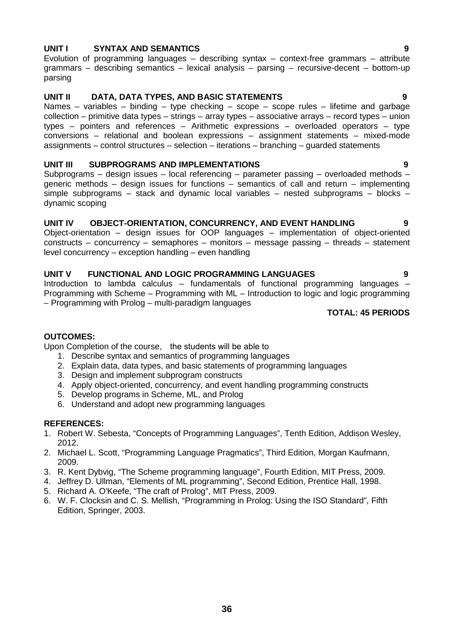## **UNIT I SYNTAX AND SEMANTICS 9**

Evolution of programming languages – describing syntax – context-free grammars – attribute grammars – describing semantics – lexical analysis – parsing – recursive-decent – bottom-up parsing

## **UNIT II DATA, DATA TYPES, AND BASIC STATEMENTS 9**

Names – variables – binding – type checking – scope – scope rules – lifetime and garbage collection – primitive data types – strings – array types – associative arrays – record types – union types – pointers and references – Arithmetic expressions – overloaded operators – type conversions – relational and boolean expressions – assignment statements – mixed-mode assignments – control structures – selection – iterations – branching – guarded statements

## **UNIT III SUBPROGRAMS AND IMPLEMENTATIONS 9**

Subprograms – design issues – local referencing – parameter passing – overloaded methods – generic methods – design issues for functions – semantics of call and return – implementing simple subprograms – stack and dynamic local variables – nested subprograms – blocks – dynamic scoping

## **UNIT IV OBJECT-ORIENTATION, CONCURRENCY, AND EVENT HANDLING 9**

Object-orientation – design issues for OOP languages – implementation of object-oriented constructs – concurrency – semaphores – monitors – message passing – threads – statement level concurrency – exception handling – even handling

## **UNIT V FUNCTIONAL AND LOGIC PROGRAMMING LANGUAGES 9**

Introduction to lambda calculus – fundamentals of functional programming languages – Programming with Scheme – Programming with ML – Introduction to logic and logic programming – Programming with Prolog – multi-paradigm languages

**TOTAL: 45 PERIODS**

### **OUTCOMES:**

Upon Completion of the course, the students will be able to

- 1. Describe syntax and semantics of programming languages
- 2. Explain data, data types, and basic statements of programming languages
- 3. Design and implement subprogram constructs
- 4. Apply object-oriented, concurrency, and event handling programming constructs
- 5. Develop programs in Scheme, ML, and Prolog
- 6. Understand and adopt new programming languages

### **REFERENCES:**

- 1. Robert W. Sebesta, "Concepts of Programming Languages", Tenth Edition, Addison Wesley, 2012.
- 2. Michael L. Scott, "Programming Language Pragmatics", Third Edition, Morgan Kaufmann, 2009.
- 3. R. Kent Dybvig, "The Scheme programming language", Fourth Edition, MIT Press, 2009.
- 4. Jeffrey D. Ullman, "Elements of ML programming", Second Edition, Prentice Hall, 1998.
- 5. Richard A. O'Keefe, "The craft of Prolog", MIT Press, 2009.
- 6. W. F. Clocksin and C. S. Mellish, "Programming in Prolog: Using the ISO Standard", Fifth Edition, Springer, 2003.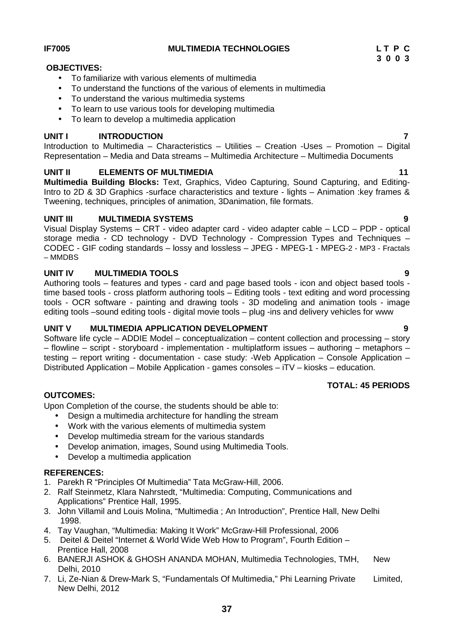**UNIT I INTRODUCTION 7**

Introduction to Multimedia – Characteristics – Utilities – Creation -Uses – Promotion – Digital Representation – Media and Data streams – Multimedia Architecture – Multimedia Documents

## **UNIT II ELEMENTS OF MULTIMEDIA 11**

To familiarize with various elements of multimedia

• To learn to use various tools for developing multimedia

To understand the various multimedia systems

• To learn to develop a multimedia application

To understand the functions of the various of elements in multimedia

**Multimedia Building Blocks:** Text, Graphics, Video Capturing, Sound Capturing, and Editing-Intro to 2D & 3D Graphics -surface characteristics and texture - lights – Animation :key frames & Tweening, techniques, principles of animation, 3Danimation, file formats.

## **UNIT III MULTIMEDIA SYSTEMS 9**

Visual Display Systems – CRT - video adapter card - video adapter cable – LCD – PDP - optical storage media - CD technology - DVD Technology - Compression Types and Techniques – CODEC - GIF coding standards – lossy and lossless – JPEG - MPEG-1 - MPEG-2 - MP3 - Fractals – MMDBS

## **UNIT IV MULTIMEDIA TOOLS 9**

Authoring tools – features and types - card and page based tools - icon and object based tools time based tools - cross platform authoring tools – Editing tools - text editing and word processing tools - OCR software - painting and drawing tools - 3D modeling and animation tools - image editing tools –sound editing tools - digital movie tools – plug -ins and delivery vehicles for www

## **UNIT V MULTIMEDIA APPLICATION DEVELOPMENT 9**

Software life cycle – ADDIE Model – conceptualization – content collection and processing – story – flowline – script - storyboard - implementation - multiplatform issues – authoring – metaphors – testing – report writing - documentation - case study: -Web Application – Console Application – Distributed Application – Mobile Application - games consoles – iTV – kiosks – education.

## **OUTCOMES:**

Upon Completion of the course, the students should be able to:

- Design a multimedia architecture for handling the stream
- Work with the various elements of multimedia system
- Develop multimedia stream for the various standards
- Develop animation, images, Sound using Multimedia Tools.
- Develop a multimedia application

## **REFERENCES:**

- 1. Parekh R "Principles Of Multimedia" Tata McGraw-Hill, 2006.
- 2. Ralf Steinmetz, Klara Nahrstedt, "Multimedia: Computing, Communications and Applications" Prentice Hall, 1995.
- 3. John Villamil and Louis Molina, "Multimedia ; An Introduction", Prentice Hall, New Delhi 1998.
- 4. Tay Vaughan, "Multimedia: Making It Work" McGraw-Hill Professional, 2006
- 5. Deitel & Deitel "Internet & World Wide Web How to Program", Fourth Edition Prentice Hall, 2008
- 6. BANERJI ASHOK & GHOSH ANANDA MOHAN, Multimedia Technologies, TMH, New Delhi, 2010
- 7. Li, Ze-Nian & Drew-Mark S, "Fundamentals Of Multimedia," Phi Learning Private Limited, New Delhi, 2012

**OBJECTIVES:**

**TOTAL: 45 PERIODS**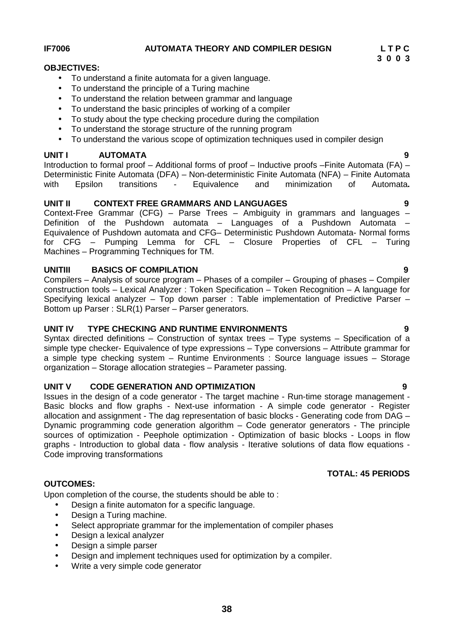## **IF7006 AUTOMATA THEORY AND COMPILER DESIGN L T P C**

## **OBJECTIVES:**

- To understand a finite automata for a given language.
- To understand the principle of a Turing machine
- To understand the relation between grammar and language
- To understand the basic principles of working of a compiler
- To study about the type checking procedure during the compilation
- To understand the storage structure of the running program
- To understand the various scope of optimization techniques used in compiler design

## **UNIT I AUTOMATA 9**

Introduction to formal proof – Additional forms of proof – Inductive proofs –Finite Automata (FA) – Deterministic Finite Automata (DFA) – Non-deterministic Finite Automata (NFA) – Finite Automata with Epsilon transitions - Equivalence and minimization of Automata**.**

## **UNIT II CONTEXT FREE GRAMMARS AND LANGUAGES 9**

Context-Free Grammar (CFG) – Parse Trees – Ambiguity in grammars and languages – Definition of the Pushdown automata – Languages of a Pushdown Automata – Equivalence of Pushdown automata and CFG– Deterministic Pushdown Automata- Normal forms for CFG – Pumping Lemma for CFL – Closure Properties of CFL – Turing Machines – Programming Techniques for TM.

## **UNITIII BASICS OF COMPILATION 9**

Compilers – Analysis of source program – Phases of a compiler – Grouping of phases – Compiler construction tools – Lexical Analyzer : Token Specification – Token Recognition – A language for Specifying lexical analyzer – Top down parser : Table implementation of Predictive Parser – Bottom up Parser : SLR(1) Parser – Parser generators.

## **UNIT IV TYPE CHECKING AND RUNTIME ENVIRONMENTS 9**

Syntax directed definitions – Construction of syntax trees – Type systems – Specification of a simple type checker- Equivalence of type expressions – Type conversions – Attribute grammar for a simple type checking system – Runtime Environments : Source language issues – Storage organization – Storage allocation strategies – Parameter passing.

## **UNIT V CODE GENERATION AND OPTIMIZATION 9**

Issues in the design of a code generator - The target machine - Run-time storage management - Basic blocks and flow graphs - Next-use information - A simple code generator - Register allocation and assignment - The dag representation of basic blocks - Generating code from DAG -Dynamic programming code generation algorithm  $-$  Code generator generators - The principle sources of optimization - Peephole optimization - Optimization of basic blocks - Loops in flow graphs - Introduction to global data - flow analysis - Iterative solutions of data flow equations - Code improving transformations

## **OUTCOMES:**

Upon completion of the course, the students should be able to :

- Design a finite automaton for a specific language.
- Design a Turing machine.
- Select appropriate grammar for the implementation of compiler phases
- Design a lexical analyzer
- Design a simple parser
- Design and implement techniques used for optimization by a compiler.
- Write a very simple code generator

**3 0 0 3**

**TOTAL: 45 PERIODS**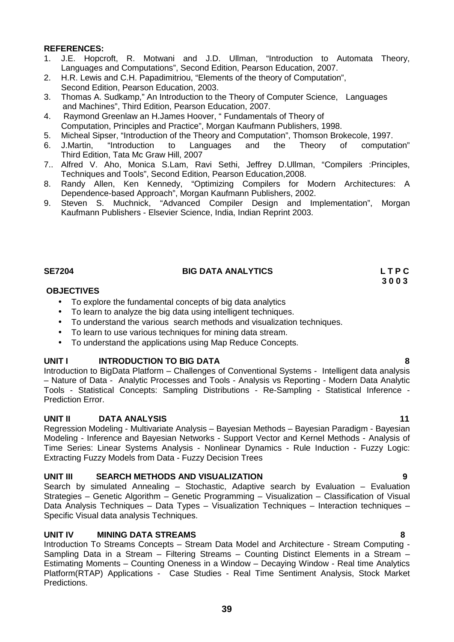- 1. J.E. Hopcroft, R. Motwani and J.D. Ullman, "Introduction to Automata Theory, Languages and Computations", Second Edition, Pearson Education, 2007.
- 2. H.R. Lewis and C.H. Papadimitriou, "Elements of the theory of Computation", Second Edition, Pearson Education, 2003.
- 3. Thomas A. Sudkamp," An Introduction to the Theory of Computer Science, Languages and Machines", Third Edition, Pearson Education, 2007.
- 4. Raymond Greenlaw an H.James Hoover, " Fundamentals of Theory of Computation, Principles and Practice", Morgan Kaufmann Publishers, 1998.
- 5. Micheal Sipser, "Introduction of the Theory and Computation", Thomson Brokecole, 1997.<br>6. J.Martin, "Introduction to Languages and the Theory of computation".
- "Introduction to Languages and the Theory of computation" Third Edition, Tata Mc Graw Hill, 2007
- 7.. Alfred V. Aho, Monica S.Lam, Ravi Sethi, Jeffrey D.Ullman, "Compilers :Principles, Techniques and Tools", Second Edition, Pearson Education,2008.
- 8. Randy Allen, Ken Kennedy, "Optimizing Compilers for Modern Architectures: A Dependence-based Approach", Morgan Kaufmann Publishers, 2002.
- 9. Steven S. Muchnick, "Advanced Compiler Design and Implementation", Morgan Kaufmann Publishers - Elsevier Science, India, Indian Reprint 2003.

## **SE7204 BIG DATA ANALYTICS L T P C**

## **OBJECTIVES**

- To explore the fundamental concepts of big data analytics
- To learn to analyze the big data using intelligent techniques.
- To understand the various search methods and visualization techniques.
- To learn to use various techniques for mining data stream.
- To understand the applications using Map Reduce Concepts.

## **UNIT I INTRODUCTION TO BIG DATA 8**

Introduction to BigData Platform – Challenges of Conventional Systems - Intelligent data analysis – Nature of Data - Analytic Processes and Tools - Analysis vs Reporting - Modern Data Analytic Tools - Statistical Concepts: Sampling Distributions - Re-Sampling - Statistical Inference - Prediction Error.

## **UNIT II DATA ANALYSIS 11**

Regression Modeling - Multivariate Analysis – Bayesian Methods – Bayesian Paradigm - Bayesian Modeling - Inference and Bayesian Networks - Support Vector and Kernel Methods - Analysis of Time Series: Linear Systems Analysis - Nonlinear Dynamics - Rule Induction - Fuzzy Logic: Extracting Fuzzy Models from Data - Fuzzy Decision Trees

## **UNIT III SEARCH METHODS AND VISUALIZATION 9**

Search by simulated Annealing – Stochastic, Adaptive search by Evaluation – Evaluation Strategies – Genetic Algorithm – Genetic Programming – Visualization – Classification of Visual Data Analysis Techniques – Data Types – Visualization Techniques – Interaction techniques – Specific Visual data analysis Techniques.

## **UNIT IV MINING DATA STREAMS 8**

Introduction To Streams Concepts – Stream Data Model and Architecture - Stream Computing - Sampling Data in a Stream – Filtering Streams – Counting Distinct Elements in a Stream – Estimating Moments – Counting Oneness in a Window – Decaying Window - Real time Analytics Platform(RTAP) Applications - Case Studies - Real Time Sentiment Analysis, Stock Market Predictions.

**3 0 0 3**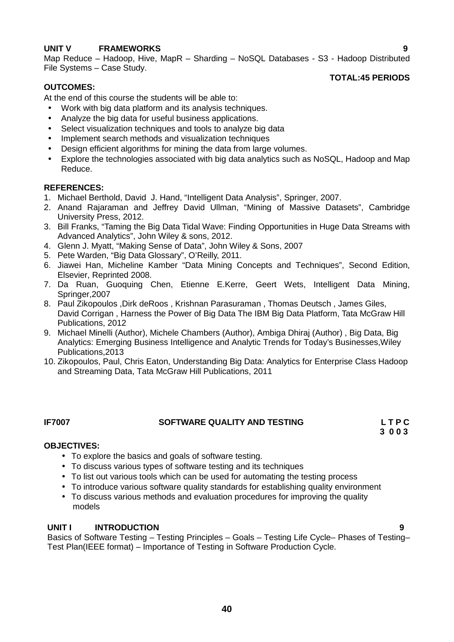## **UNIT V FRAMEWORKS 9**

Map Reduce – Hadoop, Hive, MapR – Sharding – NoSQL Databases - S3 - Hadoop Distributed File Systems – Case Study.

## **OUTCOMES:**

## **TOTAL:45 PERIODS**

At the end of this course the students will be able to:

- Work with big data platform and its analysis techniques.
- Analyze the big data for useful business applications.
- Select visualization techniques and tools to analyze big data
- Implement search methods and visualization techniques
- Design efficient algorithms for mining the data from large volumes.
- Explore the technologies associated with big data analytics such as NoSQL, Hadoop and Map Reduce.

## **REFERENCES:**

- 1. Michael Berthold, David J. Hand, "Intelligent Data Analysis", Springer, 2007.
- 2. Anand Rajaraman and Jeffrey David Ullman, "Mining of Massive Datasets", Cambridge University Press, 2012.
- 3. Bill Franks, "Taming the Big Data Tidal Wave: Finding Opportunities in Huge Data Streams with Advanced Analytics", John Wiley & sons, 2012.
- 4. Glenn J. Myatt, "Making Sense of Data", John Wiley & Sons, 2007
- 5. Pete Warden, "Big Data Glossary", O'Reilly, 2011.
- 6. Jiawei Han, Micheline Kamber "Data Mining Concepts and Techniques", Second Edition, Elsevier, Reprinted 2008.
- 7. Da Ruan, Guoquing Chen, Etienne E.Kerre, Geert Wets, Intelligent Data Mining, Springer,2007
- 8. Paul Zikopoulos ,Dirk deRoos , Krishnan Parasuraman , Thomas Deutsch , James Giles, David Corrigan , Harness the Power of Big Data The IBM Big Data Platform, Tata McGraw Hill Publications, 2012
- 9. Michael Minelli (Author), Michele Chambers (Author), Ambiga Dhiraj (Author) , Big Data, Big Analytics: Emerging Business Intelligence and Analytic Trends for Today's Businesses,Wiley Publications,2013
- 10. Zikopoulos, Paul, Chris Eaton, Understanding Big Data: Analytics for Enterprise Class Hadoop and Streaming Data, Tata McGraw Hill Publications, 2011

## **IF7007 SOFTWARE QUALITY AND TESTING L T P C**

**3 0 0 3**

## **OBJECTIVES:**

- To explore the basics and goals of software testing.
- To discuss various types of software testing and its techniques
- To list out various tools which can be used for automating the testing process
- To introduce various software quality standards for establishing quality environment
- To discuss various methods and evaluation procedures for improving the quality models

## **UNIT I INTRODUCTION 9**

Basics of Software Testing – Testing Principles – Goals – Testing Life Cycle– Phases of Testing– Test Plan(IEEE format) – Importance of Testing in Software Production Cycle.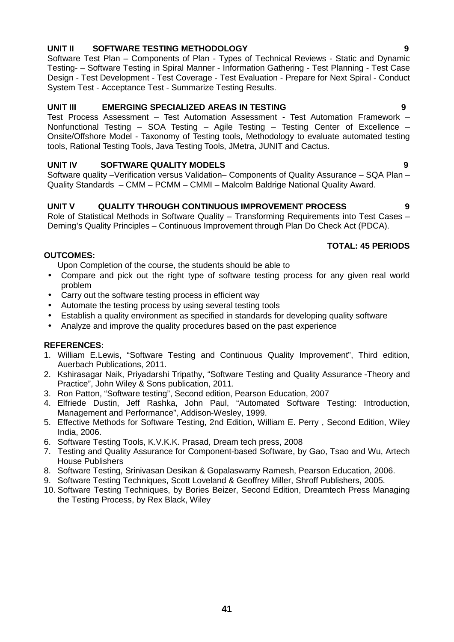## **UNIT II SOFTWARE TESTING METHODOLOGY 9**

Software Test Plan – Components of Plan - Types of Technical Reviews - Static and Dynamic Testing- – Software Testing in Spiral Manner - Information Gathering - Test Planning - Test Case Design - Test Development - Test Coverage - Test Evaluation - Prepare for Next Spiral - Conduct System Test - Acceptance Test - Summarize Testing Results.

## **UNIT III EMERGING SPECIALIZED AREAS IN TESTING 9**

Test Process Assessment – Test Automation Assessment - Test Automation Framework – Nonfunctional Testing – SOA Testing – Agile Testing – Testing Center of Excellence – Onsite/Offshore Model - Taxonomy of Testing tools, Methodology to evaluate automated testing tools, Rational Testing Tools, Java Testing Tools, JMetra, JUNIT and Cactus.

## **UNIT IV SOFTWARE QUALITY MODELS 9**

Software quality –Verification versus Validation– Components of Quality Assurance – SQA Plan – Quality Standards – CMM – PCMM – CMMI – Malcolm Baldrige National Quality Award.

## **UNIT V QUALITY THROUGH CONTINUOUS IMPROVEMENT PROCESS 9**

Role of Statistical Methods in Software Quality – Transforming Requirements into Test Cases – Deming's Quality Principles – Continuous Improvement through Plan Do Check Act (PDCA).

## **TOTAL: 45 PERIODS**

## **OUTCOMES:**

Upon Completion of the course, the students should be able to

- Compare and pick out the right type of software testing process for any given real world problem
- Carry out the software testing process in efficient way
- Automate the testing process by using several testing tools
- Establish a quality environment as specified in standards for developing quality software
- Analyze and improve the quality procedures based on the past experience

## **REFERENCES:**

- 1. William E.Lewis, "Software Testing and Continuous Quality Improvement", Third edition, Auerbach Publications, 2011.
- 2. Kshirasagar Naik, Priyadarshi Tripathy, "Software Testing and Quality Assurance -Theory and Practice", John Wiley & Sons publication, 2011.
- 3. Ron Patton, "Software testing", Second edition, Pearson Education, 2007
- 4. Elfriede Dustin, Jeff Rashka, John Paul, "Automated Software Testing: Introduction, Management and Performance", Addison-Wesley, 1999.
- 5. Effective Methods for Software Testing, 2nd Edition, William E. Perry , Second Edition, Wiley India, 2006.
- 6. Software Testing Tools, K.V.K.K. Prasad, Dream tech press, 2008
- 7. Testing and Quality Assurance for Component-based Software, by Gao, Tsao and Wu, Artech House Publishers
- 8. Software Testing, Srinivasan Desikan & Gopalaswamy Ramesh, Pearson Education, 2006.
- 9. Software Testing Techniques, Scott Loveland & Geoffrey Miller, Shroff Publishers, 2005.
- 10. Software Testing Techniques, by Bories Beizer, Second Edition, Dreamtech Press Managing the Testing Process, by Rex Black, Wiley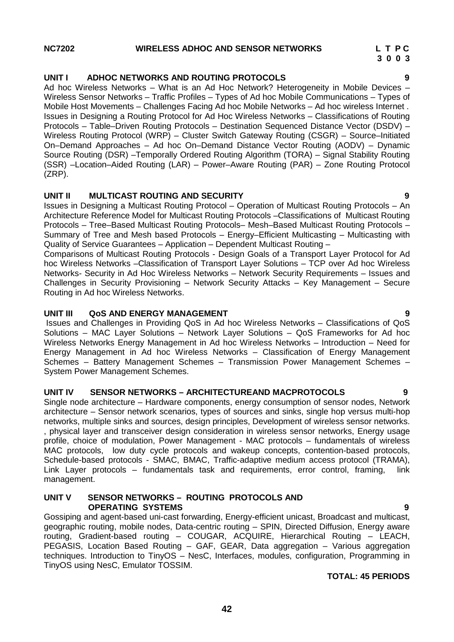## **NC7202 WIRELESS ADHOC AND SENSOR NETWORKS L T P C**

## **UNIT I ADHOC NETWORKS AND ROUTING PROTOCOLS 9**

Ad hoc Wireless Networks – What is an Ad Hoc Network? Heterogeneity in Mobile Devices – Wireless Sensor Networks – Traffic Profiles – Types of Ad hoc Mobile Communications – Types of Mobile Host Movements – Challenges Facing Ad hoc Mobile Networks – Ad hoc wireless Internet . Issues in Designing a Routing Protocol for Ad Hoc Wireless Networks – Classifications of Routing Protocols – Table–Driven Routing Protocols – Destination Sequenced Distance Vector (DSDV) – Wireless Routing Protocol (WRP) – Cluster Switch Gateway Routing (CSGR) – Source–Initiated On–Demand Approaches – Ad hoc On–Demand Distance Vector Routing (AODV) – Dynamic Source Routing (DSR) –Temporally Ordered Routing Algorithm (TORA) – Signal Stability Routing (SSR) –Location–Aided Routing (LAR) – Power–Aware Routing (PAR) – Zone Routing Protocol (ZRP).

## **UNIT II MULTICAST ROUTING AND SECURITY 9**

Issues in Designing a Multicast Routing Protocol – Operation of Multicast Routing Protocols – An Architecture Reference Model for Multicast Routing Protocols –Classifications of Multicast Routing Protocols – Tree–Based Multicast Routing Protocols– Mesh–Based Multicast Routing Protocols – Summary of Tree and Mesh based Protocols – Energy–Efficient Multicasting – Multicasting with Quality of Service Guarantees – Application – Dependent Multicast Routing –

Comparisons of Multicast Routing Protocols - Design Goals of a Transport Layer Protocol for Ad hoc Wireless Networks –Classification of Transport Layer Solutions – TCP over Ad hoc Wireless Networks- Security in Ad Hoc Wireless Networks – Network Security Requirements – Issues and Challenges in Security Provisioning – Network Security Attacks – Key Management – Secure Routing in Ad hoc Wireless Networks.

## **UNIT III QoS AND ENERGY MANAGEMENT 9**

Issues and Challenges in Providing QoS in Ad hoc Wireless Networks – Classifications of QoS Solutions – MAC Layer Solutions – Network Layer Solutions – QoS Frameworks for Ad hoc Wireless Networks Energy Management in Ad hoc Wireless Networks – Introduction – Need for Energy Management in Ad hoc Wireless Networks – Classification of Energy Management Schemes – Battery Management Schemes – Transmission Power Management Schemes – System Power Management Schemes.

## **UNIT IV SENSOR NETWORKS –ARCHITECTUREAND MACPROTOCOLS 9**

Single node architecture – Hardware components, energy consumption of sensor nodes, Network architecture – Sensor network scenarios, types of sources and sinks, single hop versus multi-hop networks, multiple sinks and sources, design principles, Development of wireless sensor networks. , physical layer and transceiver design consideration in wireless sensor networks, Energy usage profile, choice of modulation, Power Management - MAC protocols – fundamentals of wireless MAC protocols, low duty cycle protocols and wakeup concepts, contention-based protocols, Schedule-based protocols - SMAC, BMAC, Traffic-adaptive medium access protocol (TRAMA), Link Layer protocols – fundamentals task and requirements, error control, framing, link management.

### **UNIT V SENSOR NETWORKS –ROUTING PROTOCOLS AND OPERATING SYSTEMS 9**

Gossiping and agent-based uni-cast forwarding, Energy-efficient unicast, Broadcast and multicast, geographic routing, mobile nodes, Data-centric routing – SPIN, Directed Diffusion, Energy aware routing, Gradient-based routing – COUGAR, ACQUIRE, Hierarchical Routing – LEACH, PEGASIS, Location Based Routing – GAF, GEAR, Data aggregation – Various aggregation techniques. Introduction to TinyOS – NesC, Interfaces, modules, configuration, Programming in TinyOS using NesC, Emulator TOSSIM.

## **TOTAL: 45 PERIODS**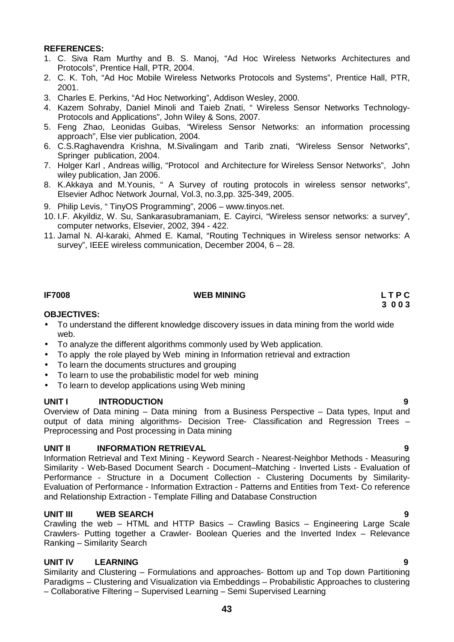- 1. C. Siva Ram Murthy and B. S. Manoj, "Ad Hoc Wireless Networks Architectures and Protocols", Prentice Hall, PTR, 2004.
- 2. C. K. Toh, "Ad Hoc Mobile Wireless Networks Protocols and Systems", Prentice Hall, PTR, 2001.
- 3. Charles E. Perkins, "Ad Hoc Networking", Addison Wesley, 2000.
- 4. Kazem Sohraby, Daniel Minoli and Taieb Znati, " Wireless Sensor Networks Technology- Protocols and Applications", John Wiley & Sons, 2007.
- 5. Feng Zhao, Leonidas Guibas, "Wireless Sensor Networks: an information processing approach", Else vier publication, 2004.
- 6. C.S.Raghavendra Krishna, M.Sivalingam and Tarib znati, "Wireless Sensor Networks", Springer publication, 2004.
- 7. Holger Karl , Andreas willig, "Protocol and Architecture for Wireless Sensor Networks", John wiley publication, Jan 2006.
- 8. K.Akkaya and M.Younis, " A Survey of routing protocols in wireless sensor networks", Elsevier Adhoc Network Journal, Vol.3, no.3,pp. 325-349, 2005.
- 9. Philip Levis, " TinyOS Programming", 2006 www.tinyos.net.
- 10. I.F. Akyildiz, W. Su, Sankarasubramaniam, E. Cayirci, "Wireless sensor networks: a survey", computer networks, Elsevier, 2002, 394 - 422.
- 11. Jamal N. Al-karaki, Ahmed E. Kamal, "Routing Techniques in Wireless sensor networks: A survey", IEEE wireless communication, December 2004, 6 – 28.

## **IF7008 WEB MINING L T P C**

# **3 0 0 3**

## **OBJECTIVES:**

- To understand the different knowledge discovery issues in data mining from the world wide web.
- To analyze the different algorithms commonly used by Web application.
- To apply the role played by Web mining in Information retrieval and extraction
- To learn the documents structures and grouping
- To learn to use the probabilistic model for web mining
- To learn to develop applications using Web mining

## **UNIT I INTRODUCTION 9**

Overview of Data mining – Data mining from a Business Perspective – Data types, Input and output of data mining algorithms- Decision Tree- Classification and Regression Trees – Preprocessing and Post processing in Data mining

## **UNIT II INFORMATION RETRIEVAL 9**

Information Retrieval and Text Mining - Keyword Search - Nearest-Neighbor Methods - Measuring Similarity - Web-Based Document Search - Document–Matching - Inverted Lists - Evaluation of Performance - Structure in a Document Collection - Clustering Documents by Similarity- Evaluation of Performance - Information Extraction - Patterns and Entities from Text- Co reference and Relationship Extraction - Template Filling and Database Construction

## **UNIT III WEB SEARCH 9**

Crawling the web – HTML and HTTP Basics – Crawling Basics – Engineering Large Scale Crawlers- Putting together a Crawler- Boolean Queries and the Inverted Index – Relevance Ranking – Similarity Search

## **UNIT IV LEARNING 9**

Similarity and Clustering – Formulations and approaches- Bottom up and Top down Partitioning Paradigms – Clustering and Visualization via Embeddings – Probabilistic Approaches to clustering – Collaborative Filtering – Supervised Learning – Semi Supervised Learning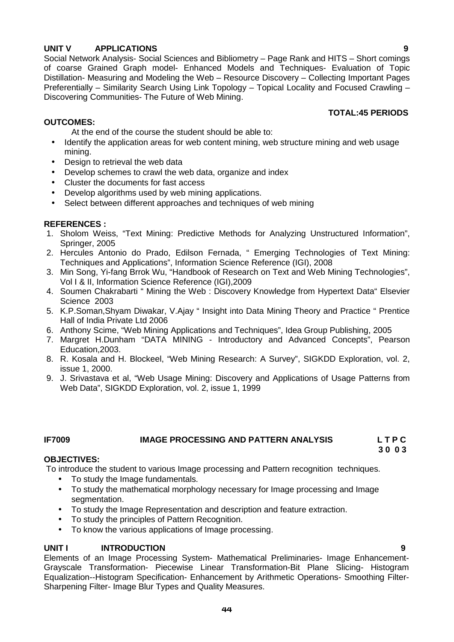## **UNIT V APPLICATIONS 9**

Social Network Analysis- Social Sciences and Bibliometry – Page Rank and HITS – Short comings of coarse Grained Graph model- Enhanced Models and Techniques- Evaluation of Topic Distillation- Measuring and Modeling the Web – Resource Discovery – Collecting Important Pages Preferentially – Similarity Search Using Link Topology – Topical Locality and Focused Crawling – Discovering Communities- The Future of Web Mining.

## **TOTAL:45 PERIODS**

## **OUTCOMES:**

- At the end of the course the student should be able to:
- Identify the application areas for web content mining, web structure mining and web usage mining.
- Design to retrieval the web data
- Develop schemes to crawl the web data, organize and index
- Cluster the documents for fast access
- Develop algorithms used by web mining applications.
- Select between different approaches and techniques of web mining

## **REFERENCES :**

- 1. Sholom Weiss, "Text Mining: Predictive Methods for Analyzing Unstructured Information", Springer, 2005
- 2. Hercules Antonio do Prado, Edilson Fernada, " Emerging Technologies of Text Mining: Techniques and Applications", Information Science Reference (IGI), 2008
- 3. Min Song, Yi-fang Brrok Wu, "Handbook of Research on Text and Web Mining Technologies", Vol I & II, Information Science Reference (IGI),2009
- 4. Soumen Chakrabarti " Mining the Web : Discovery Knowledge from Hypertext Data" Elsevier Science 2003
- 5. K.P.Soman,Shyam Diwakar, V.Ajay " Insight into Data Mining Theory and Practice " Prentice Hall of India Private Ltd 2006
- 6. Anthony Scime, "Web Mining Applications and Techniques", Idea Group Publishing, 2005
- 7. Margret H.Dunham "DATA MINING Introductory and Advanced Concepts", Pearson Education,2003.
- 8. R. Kosala and H. Blockeel, "Web Mining Research: A Survey", SIGKDD Exploration, vol. 2, issue 1, 2000.
- 9. J. Srivastava et al, "Web Usage Mining: Discovery and Applications of Usage Patterns from Web Data", SIGKDD Exploration, vol. 2, issue 1, 1999

## **IF7009 IMAGE PROCESSING AND PATTERN ANALYSIS L T P C**

**3 0 0 3**

## **OBJECTIVES:**

To introduce the student to various Image processing and Pattern recognition techniques.

- To study the Image fundamentals.
- To study the mathematical morphology necessary for Image processing and Image segmentation.
- To study the Image Representation and description and feature extraction.
- To study the principles of Pattern Recognition.
- To know the various applications of Image processing.

## **UNIT I INTRODUCTION 9**

Elements of an Image Processing System- Mathematical Preliminaries- Image Enhancement- Grayscale Transformation- Piecewise Linear Transformation-Bit Plane Slicing- Histogram Equalization--Histogram Specification- Enhancement by Arithmetic Operations- Smoothing Filter- Sharpening Filter- Image Blur Types and Quality Measures.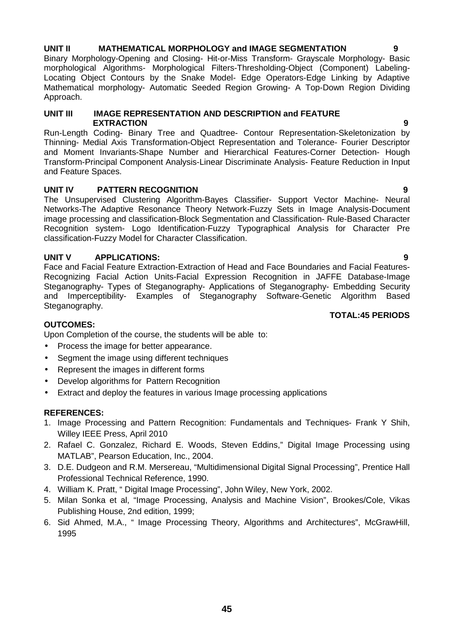## **UNIT II MATHEMATICAL MORPHOLOGY and IMAGE SEGMENTATION 9**

Binary Morphology-Opening and Closing- Hit-or-Miss Transform- Grayscale Morphology- Basic morphological Algorithms- Morphological Filters-Thresholding-Object (Component) Labeling- Locating Object Contours by the Snake Model- Edge Operators-Edge Linking by Adaptive Mathematical morphology- Automatic Seeded Region Growing- A Top-Down Region Dividing Approach.

## **UNIT III IMAGE REPRESENTATION AND DESCRIPTION and FEATURE EXTRACTION 9**

Run-Length Coding- Binary Tree and Quadtree- Contour Representation-Skeletonization by Thinning- Medial Axis Transformation-Object Representation and Tolerance- Fourier Descriptor and Moment Invariants-Shape Number and Hierarchical Features-Corner Detection- Hough Transform-Principal Component Analysis-Linear Discriminate Analysis- Feature Reduction in Input and Feature Spaces.

## **UNIT IV PATTERN RECOGNITION 9**

The Unsupervised Clustering Algorithm-Bayes Classifier- Support Vector Machine- Neural Networks-The Adaptive Resonance Theory Network-Fuzzy Sets in Image Analysis-Document image processing and classification-Block Segmentation and Classification- Rule-Based Character Recognition system- Logo Identification-Fuzzy Typographical Analysis for Character Pre classification-Fuzzy Model for Character Classification.

## **UNIT V APPLICATIONS: 9**

Face and Facial Feature Extraction-Extraction of Head and Face Boundaries and Facial Features- Recognizing Facial Action Units-Facial Expression Recognition in JAFFE Database-Image Steganography- Types of Steganography- Applications of Steganography- Embedding Security and Imperceptibility- Examples of Steganography Software-Genetic Algorithm Based Steganography. **TOTAL:45 PERIODS**

## **OUTCOMES:**

Upon Completion of the course, the students will be able to:

- Process the image for better appearance.
- Segment the image using different techniques
- Represent the images in different forms
- Develop algorithms for Pattern Recognition
- Extract and deploy the features in various Image processing applications

## **REFERENCES:**

- 1. Image Processing and Pattern Recognition: Fundamentals and Techniques- Frank Y Shih, Willey IEEE Press, April 2010
- 2. Rafael C. Gonzalez, Richard E. Woods, Steven Eddins," Digital Image Processing using MATLAB", Pearson Education, Inc., 2004.
- 3. D.E. Dudgeon and R.M. Mersereau, "Multidimensional Digital Signal Processing", Prentice Hall Professional Technical Reference, 1990.
- 4. William K. Pratt, " Digital Image Processing", John Wiley, New York, 2002.
- 5. Milan Sonka et al, "Image Processing, Analysis and Machine Vision", Brookes/Cole, Vikas Publishing House, 2nd edition, 1999;
- 6. Sid Ahmed, M.A., " Image Processing Theory, Algorithms and Architectures", McGrawHill, 1995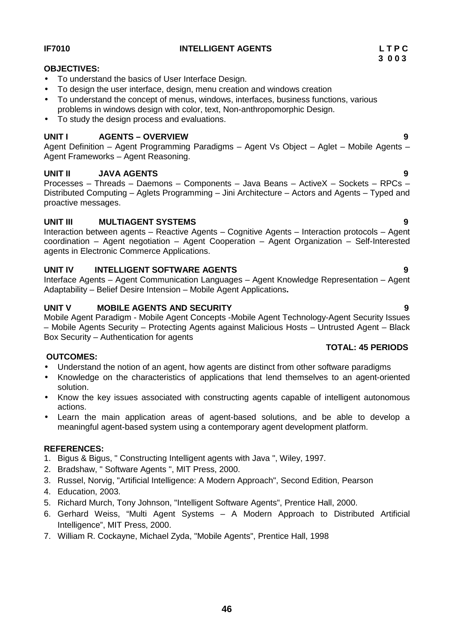## **IF7010 INTELLIGENT AGENTS L T P C**

## **OBJECTIVES:**

- To understand the basics of User Interface Design.
- To design the user interface, design, menu creation and windows creation
- To understand the concept of menus, windows, interfaces, business functions, various problems in windows design with color, text, Non-anthropomorphic Design.
- To study the design process and evaluations.

## **UNIT I AGENTS – OVERVIEW 9**

Agent Definition – Agent Programming Paradigms – Agent Vs Object – Aglet – Mobile Agents – Agent Frameworks – Agent Reasoning.

## **UNIT II JAVA AGENTS 9**

Processes – Threads – Daemons – Components – Java Beans – ActiveX – Sockets – RPCs – Distributed Computing – Aglets Programming – Jini Architecture – Actors and Agents – Typed and proactive messages.

## **UNIT III MULTIAGENT SYSTEMS 9**

Interaction between agents – Reactive Agents – Cognitive Agents – Interaction protocols – Agent coordination – Agent negotiation – Agent Cooperation – Agent Organization – Self-Interested agents in Electronic Commerce Applications.

## **UNIT IV INTELLIGENT SOFTWARE AGENTS 9**

Interface Agents – Agent Communication Languages – Agent Knowledge Representation – Agent Adaptability – Belief Desire Intension – Mobile Agent Applications**.**

## **UNIT V MOBILE AGENTS AND SECURITY 9**

Mobile Agent Paradigm - Mobile Agent Concepts -Mobile Agent Technology-Agent Security Issues – Mobile Agents Security – Protecting Agents against Malicious Hosts – Untrusted Agent – Black Box Security – Authentication for agents

## **OUTCOMES:**

- Understand the notion of an agent, how agents are distinct from other software paradigms
- Knowledge on the characteristics of applications that lend themselves to an agent-oriented solution.
- Know the key issues associated with constructing agents capable of intelligent autonomous actions.
- Learn the main application areas of agent-based solutions, and be able to develop a meaningful agent-based system using a contemporary agent development platform.

## **REFERENCES:**

- 1. Bigus & Bigus, " Constructing Intelligent agents with Java ", Wiley, 1997.
- 2. Bradshaw, " Software Agents ", MIT Press, 2000.
- 3. Russel, Norvig, "Artificial Intelligence: A Modern Approach", Second Edition, Pearson
- 4. Education, 2003.
- 5. Richard Murch, Tony Johnson, "Intelligent Software Agents", Prentice Hall, 2000.
- 6. Gerhard Weiss, "Multi Agent Systems A Modern Approach to Distributed Artificial Intelligence", MIT Press, 2000.
- 7. William R. Cockayne, Michael Zyda, "Mobile Agents", Prentice Hall, 1998

**TOTAL: 45 PERIODS**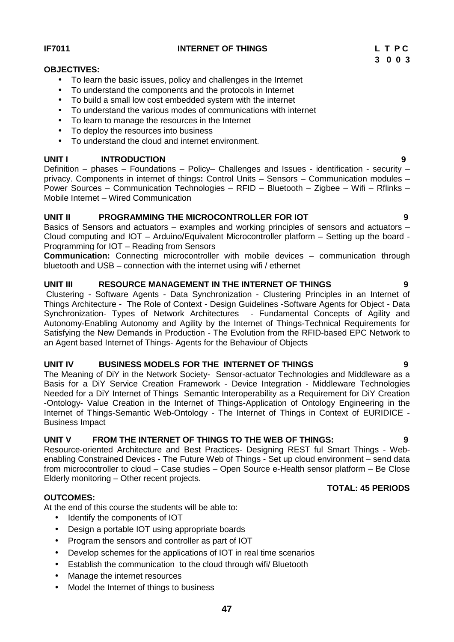## **IF7011 INTERNET OF THINGS L T P C**

## **OBJECTIVES:**

- To learn the basic issues, policy and challenges in the Internet
- To understand the components and the protocols in Internet
- To build a small low cost embedded system with the internet
- To understand the various modes of communications with internet
- To learn to manage the resources in the Internet
- To deploy the resources into business
- To understand the cloud and internet environment.

## **UNIT I INTRODUCTION 9**

Definition – phases – Foundations – Policy– Challenges and Issues - identification - security – privacy. Components in internet of things**:** Control Units – Sensors – Communication modules – Power Sources – Communication Technologies – RFID – Bluetooth – Zigbee – Wifi – Rflinks – Mobile Internet – Wired Communication

## **UNIT II PROGRAMMING THE MICROCONTROLLER FOR IOT 9**

Basics of Sensors and actuators – examples and working principles of sensors and actuators – Cloud computing and IOT – Arduino/Equivalent Microcontroller platform – Setting up the board - Programming for IOT – Reading from Sensors

**Communication:** Connecting microcontroller with mobile devices – communication through bluetooth and USB – connection with the internet using wifi / ethernet

## **UNIT III RESOURCE MANAGEMENT IN THE INTERNET OF THINGS 9**

Clustering - Software Agents - Data Synchronization - Clustering Principles in an Internet of Things Architecture - The Role of Context - Design Guidelines -Software Agents for Object - Data Synchronization- Types of Network Architectures - Fundamental Concepts of Agility and Autonomy-Enabling Autonomy and Agility by the Internet of Things-Technical Requirements for Satisfying the New Demands in Production - The Evolution from the RFID-based EPC Network to an Agent based Internet of Things- Agents for the Behaviour of Objects

## **UNIT IV BUSINESS MODELS FOR THE INTERNET OF THINGS 9**

The Meaning of DiY in the Network Society- Sensor-actuator Technologies and Middleware as a Basis for a DiY Service Creation Framework - Device Integration - Middleware Technologies Needed for a DiY Internet of Things Semantic Interoperability as a Requirement for DiY Creation -Ontology- Value Creation in the Internet of Things-Application of Ontology Engineering in the Internet of Things-Semantic Web-Ontology - The Internet of Things in Context of EURIDICE - Business Impact

## **UNIT V FROM THE INTERNET OF THINGS TO THE WEB OF THINGS: 9**

Resource-oriented Architecture and Best Practices- Designing REST ful Smart Things - Web enabling Constrained Devices - The Future Web of Things - Set up cloud environment – send data from microcontroller to cloud – Case studies – Open Source e-Health sensor platform – Be Close Elderly monitoring – Other recent projects. **TOTAL: 45 PERIODS**

## **OUTCOMES:**

At the end of this course the students will be able to:

- Identify the components of IOT
- Design a portable IOT using appropriate boards
- Program the sensors and controller as part of IOT
- Develop schemes for the applications of IOT in real time scenarios
- Establish the communication to the cloud through wifi/ Bluetooth
- Manage the internet resources
- Model the Internet of things to business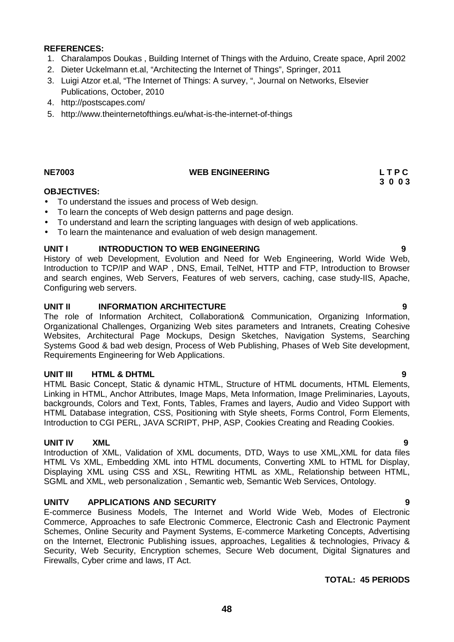- 1. Charalampos Doukas , Building Internet of Things with the Arduino, Create space, April 2002
- 2. Dieter Uckelmann et.al, "Architecting the Internet of Things", Springer, 2011
- 3. Luigi Atzor et.al, "The Internet of Things: A survey, ", Journal on Networks, Elsevier Publications, October, 2010
- 4. http://postscapes.com/
- 5. http://www.theinternetofthings.eu/what-is-the-internet-of-things

## **NE7003 WEB ENGINEERING L T P C**

# **3 0 0 3**

## **OBJECTIVES:**

- To understand the issues and process of Web design.
- To learn the concepts of Web design patterns and page design.
- To understand and learn the scripting languages with design of web applications.
- To learn the maintenance and evaluation of web design management.

## **UNIT I INTRODUCTION TO WEB ENGINEERING 9**

History of web Development, Evolution and Need for Web Engineering, World Wide Web, Introduction to TCP/IP and WAP , DNS, Email, TelNet, HTTP and FTP, Introduction to Browser and search engines, Web Servers, Features of web servers, caching, case study-IIS, Apache, Configuring web servers.

## **UNIT II INFORMATION ARCHITECTURE 9**

The role of Information Architect, Collaboration& Communication, Organizing Information, Organizational Challenges, Organizing Web sites parameters and Intranets, Creating Cohesive Websites, Architectural Page Mockups, Design Sketches, Navigation Systems, Searching Systems Good & bad web design, Process of Web Publishing, Phases of Web Site development, Requirements Engineering for Web Applications.

## **UNIT III HTML & DHTML 9**

HTML Basic Concept, Static & dynamic HTML, Structure of HTML documents, HTML Elements, Linking in HTML, Anchor Attributes, Image Maps, Meta Information, Image Preliminaries, Layouts, backgrounds, Colors and Text, Fonts, Tables, Frames and layers, Audio and Video Support with HTML Database integration, CSS, Positioning with Style sheets, Forms Control, Form Elements, Introduction to CGI PERL, JAVA SCRIPT, PHP, ASP, Cookies Creating and Reading Cookies.

## **UNIT IV XML 9**

Introduction of XML, Validation of XML documents, DTD, Ways to use XML,XML for data files HTML Vs XML, Embedding XML into HTML documents, Converting XML to HTML for Display, Displaying XML using CSS and XSL, Rewriting HTML as XML, Relationship between HTML, SGML and XML, web personalization , Semantic web, Semantic Web Services, Ontology.

## **UNITV APPLICATIONS AND SECURITY 9**

E-commerce Business Models, The Internet and World Wide Web, Modes of Electronic Commerce, Approaches to safe Electronic Commerce, Electronic Cash and Electronic Payment Schemes, Online Security and Payment Systems, E-commerce Marketing Concepts, Advertising on the Internet, Electronic Publishing issues, approaches, Legalities & technologies, Privacy & Security, Web Security, Encryption schemes, Secure Web document, Digital Signatures and Firewalls, Cyber crime and laws, IT Act.

## **TOTAL: 45 PERIODS**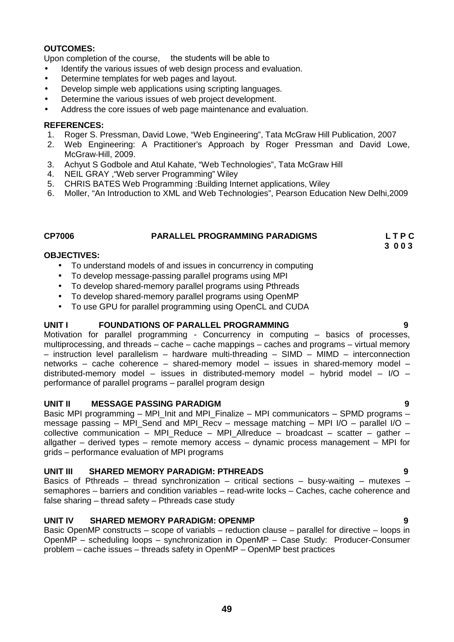## **OUTCOMES:**

Upon completion of the course, the students will be able to

- Identify the various issues of web design process and evaluation.
- Determine templates for web pages and layout.
- Develop simple web applications using scripting languages.
- Determine the various issues of web project development.
- Address the core issues of web page maintenance and evaluation.

### **REFERENCES:**

- 1. Roger S. Pressman, David Lowe, "Web Engineering", Tata McGraw Hill Publication, 2007
- 2. Web Engineering: A Practitioner's Approach by Roger Pressman and David Lowe, McGraw‐Hill, 2009.
- 3. Achyut S Godbole and Atul Kahate, "Web Technologies", Tata McGraw Hill
- 4. NEIL GRAY ,"Web server Programming" Wiley
- 5. CHRIS BATES Web Programming :Building Internet applications, Wiley
- 6. Moller, "An Introduction to XML and Web Technologies", Pearson Education New Delhi,2009

## **CP7006 PARALLEL PROGRAMMING PARADIGMS L T P C**

**3 0 0 3**

## **OBJECTIVES:**

- To understand models of and issues in concurrency in computing
- To develop message-passing parallel programs using MPI
- To develop shared-memory parallel programs using Pthreads
- To develop shared-memory parallel programs using OpenMP
- To use GPU for parallel programming using OpenCL and CUDA

### **UNIT I FOUNDATIONS OF PARALLEL PROGRAMMING 9**

Motivation for parallel programming - Concurrency in computing – basics of processes, multiprocessing, and threads – cache – cache mappings – caches and programs – virtual memory – instruction level parallelism – hardware multi-threading – SIMD – MIMD – interconnection networks – cache coherence – shared-memory model – issues in shared-memory model – distributed-memory model – issues in distributed-memory model – hybrid model – I/O – performance of parallel programs – parallel program design

### **UNIT II MESSAGE PASSING PARADIGM 9**

Basic MPI programming – MPI Init and MPI Finalize – MPI communicators – SPMD programs – message passing – MPI\_Send and MPI\_Recv – message matching – MPI I/O – parallel I/O – collective communication – MPI Reduce – MPI Allreduce – broadcast – scatter – gather – allgather – derived types – remote memory access – dynamic process management – MPI for grids – performance evaluation of MPI programs

### **UNIT III SHARED MEMORY PARADIGM: PTHREADS 9**

Basics of Pthreads – thread synchronization – critical sections – busy-waiting – mutexes – semaphores – barriers and condition variables – read-write locks – Caches, cache coherence and false sharing – thread safety – Pthreads case study

## **UNIT IV SHARED MEMORY PARADIGM: OPENMP 9**

Basic OpenMP constructs – scope of variabls – reduction clause – parallel for directive – loops in OpenMP – scheduling loops – synchronization in OpenMP – Case Study: Producer-Consumer problem – cache issues – threads safety in OpenMP –OpenMP best practices

## **49**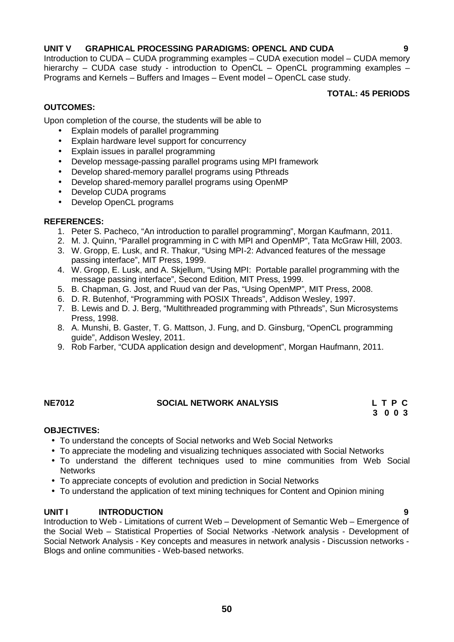## **UNIT V GRAPHICAL PROCESSING PARADIGMS: OPENCL AND CUDA 9**

Introduction to CUDA –CUDA programming examples – CUDA execution model – CUDA memory hierarchy – CUDA case study - introduction to OpenCL – OpenCL programming examples – Programs and Kernels – Buffers and Images – Event model – OpenCL case study.

## **TOTAL: 45 PERIODS**

## **OUTCOMES:**

Upon completion of the course, the students will be able to

- Explain models of parallel programming
- Explain hardware level support for concurrency
- Explain issues in parallel programming
- Develop message-passing parallel programs using MPI framework
- Develop shared-memory parallel programs using Pthreads
- Develop shared-memory parallel programs using OpenMP
- Develop CUDA programs
- Develop OpenCL programs

## **REFERENCES:**

- 1. Peter S. Pacheco, "An introduction to parallel programming", Morgan Kaufmann, 2011.
- 2. M. J. Quinn, "Parallel programming in C with MPI and OpenMP", Tata McGraw Hill, 2003.
- 3. W. Gropp, E. Lusk, and R. Thakur, "Using MPI-2: Advanced features of the message passing interface", MIT Press, 1999.
- 4. W. Gropp, E. Lusk, and A. Skjellum, "Using MPI: Portable parallel programming with the message passing interface", Second Edition, MIT Press, 1999.
- 5. B. Chapman, G. Jost, and Ruud van der Pas, "Using OpenMP", MIT Press, 2008.
- 6. D. R. Butenhof, "Programming with POSIX Threads", Addison Wesley, 1997.
- 7. B. Lewis and D. J. Berg, "Multithreaded programming with Pthreads", Sun Microsystems Press, 1998.
- 8. A. Munshi, B. Gaster, T. G. Mattson, J. Fung, and D. Ginsburg, "OpenCL programming guide", Addison Wesley, 2011.
- 9. Rob Farber, "CUDA application design and development", Morgan Haufmann, 2011.

## **NE7012 SOCIAL NETWORK ANALYSIS L T P C**

**3 0 0 3**

## **OBJECTIVES:**

- To understand the concepts of Social networks and Web Social Networks
- To appreciate the modeling and visualizing techniques associated with Social Networks
- To understand the different techniques used to mine communities from Web Social **Networks**
- To appreciate concepts of evolution and prediction in Social Networks
- To understand the application of text mining techniques for Content and Opinion mining

## **UNIT I INTRODUCTION 9**

Introduction to Web - Limitations of current Web – Development of Semantic Web – Emergence of the Social Web – Statistical Properties of Social Networks -Network analysis - Development of Social Network Analysis - Key concepts and measures in network analysis - Discussion networks - Blogs and online communities - Web-based networks.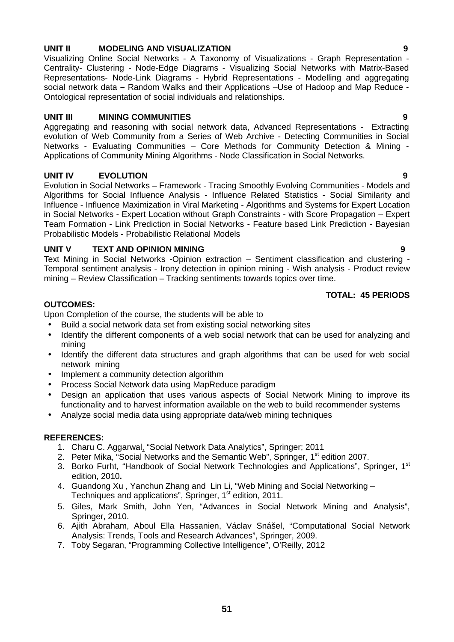## **UNIT II MODELING AND VISUALIZATION 9**

Visualizing Online Social Networks - A Taxonomy of Visualizations - Graph Representation - Centrality- Clustering - Node-Edge Diagrams - Visualizing Social Networks with Matrix-Based Representations- Node-Link Diagrams - Hybrid Representations - Modelling and aggregating social network data **–** Random Walks and their Applications –Use of Hadoop and Map Reduce - Ontological representation of social individuals and relationships.

## **UNIT III MINING COMMUNITIES 9**

Aggregating and reasoning with social network data, Advanced Representations - Extracting evolution of Web Community from a Series of Web Archive - Detecting Communities in Social Networks - Evaluating Communities – Core Methods for Community Detection & Mining - Applications of Community Mining Algorithms - Node Classification in Social Networks.

## **UNIT IV EVOLUTION 9**

Evolution in Social Networks – Framework - Tracing Smoothly Evolving Communities - Models and Algorithms for Social Influence Analysis - Influence Related Statistics - Social Similarity and Influence - Influence Maximization in Viral Marketing - Algorithms and Systems for Expert Location in Social Networks - Expert Location without Graph Constraints - with Score Propagation – Expert Team Formation - Link Prediction in Social Networks - Feature based Link Prediction - Bayesian Probabilistic Models - Probabilistic Relational Models

## **UNIT V TEXT AND OPINION MINING 9**

Text Mining in Social Networks -Opinion extraction – Sentiment classification and clustering - Temporal sentiment analysis - Irony detection in opinion mining - Wish analysis - Product review mining – Review Classification – Tracking sentiments towards topics over time.

## **TOTAL: 45 PERIODS**

## **OUTCOMES:**

Upon Completion of the course, the students will be able to

- Build a social network data set from existing social networking sites
- Identify the different components of a web social network that can be used for analyzing and mining
- Identify the different data structures and graph algorithms that can be used for web social network mining
- Implement a community detection algorithm
- Process Social Network data using MapReduce paradigm
- Design an application that uses various aspects of Social Network Mining to improve its functionality and to harvest information available on the web to build recommender systems
- Analyze social media data using appropriate data/web mining techniques

## **REFERENCES:**

- 1. Charu C. Aggarwal, "Social Network Data Analytics", Springer; 2011
- 2. Peter Mika, "Social Networks and the Semantic Web", Springer, 1<sup>st</sup> edition 2007.
- 3. Borko Furht, "Handbook of Social Network Technologies and Applications", Springer, 1<sup>st</sup> edition, 2010**.**
- 4. Guandong Xu , Yanchun Zhang and Lin Li, "Web Mining and Social Networking Techniques and applications", Springer, 1<sup>st</sup> edition, 2011.
- 5. Giles, Mark Smith, John Yen, "Advances in Social Network Mining and Analysis", Springer, 2010.
- 6. Ajith Abraham, Aboul Ella Hassanien, Václav Snášel, "Computational Social Network Analysis: Trends, Tools and Research Advances", Springer, 2009.
- 7. Toby Segaran, "Programming Collective Intelligence", O'Reilly, 2012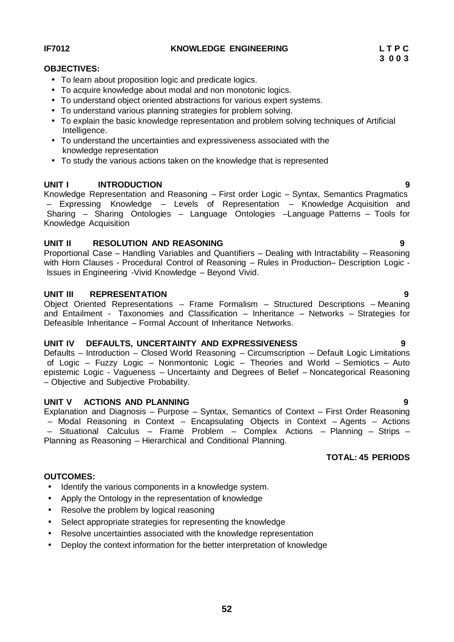# **52**

## **IF7012 KNOWLEDGE ENGINEERING L T P C**

## **OBJECTIVES:**

- To learn about proposition logic and predicate logics.
- To acquire knowledge about modal and non monotonic logics.
- To understand object oriented abstractions for various expert systems.
- To understand various planning strategies for problem solving.
- To explain the basic knowledge representation and problem solving techniques of Artificial Intelligence.
- To understand the uncertainties and expressiveness associated with the knowledge representation
- To study the various actions taken on the knowledge that is represented

## **UNIT I INTRODUCTION 9**

Knowledge Representation and Reasoning – First order Logic – Syntax, Semantics Pragmatics – Expressing Knowledge – Levels of Representation – Knowledge Acquisition and Sharing – Sharing Ontologies – Language Ontologies –Language Patterns – Tools for Knowledge Acquisition

## **UNIT II RESOLUTION AND REASONING 9**

Proportional Case – Handling Variables and Quantifiers – Dealing with Intractability – Reasoning with Horn Clauses - Procedural Control of Reasoning – Rules in Production– Description Logic - Issues in Engineering -Vivid Knowledge – Beyond Vivid.

## **UNIT III REPRESENTATION 9**

Object Oriented Representations – Frame Formalism – Structured Descriptions – Meaning and Entailment - Taxonomies and Classification – Inheritance – Networks – Strategies for Defeasible Inheritance – Formal Account of Inheritance Networks.

## **UNIT IV DEFAULTS, UNCERTAINTY AND EXPRESSIVENESS 9**

Defaults – Introduction – Closed World Reasoning – Circumscription – Default Logic Limitations of Logic – Fuzzy Logic – Nonmontonic Logic – Theories and World – Semiotics – Auto epistemic Logic - Vagueness – Uncertainty and Degrees of Belief – Noncategorical Reasoning – Objective and Subjective Probability.

## **UNIT V ACTIONS AND PLANNING 9**

Explanation and Diagnosis – Purpose – Syntax, Semantics of Context – First Order Reasoning – Modal Reasoning in Context – Encapsulating Objects in Context – Agents – Actions – Situational Calculus – Frame Problem – Complex Actions – Planning – Strips – Planning as Reasoning – Hierarchical and Conditional Planning.

## **TOTAL: 45 PERIODS**

## **OUTCOMES:**

- Identify the various components in a knowledge system.
- Apply the Ontology in the representation of knowledge
- Resolve the problem by logical reasoning
- Select appropriate strategies for representing the knowledge
- Resolve uncertainties associated with the knowledge representation
- Deploy the context information for the better interpretation of knowledge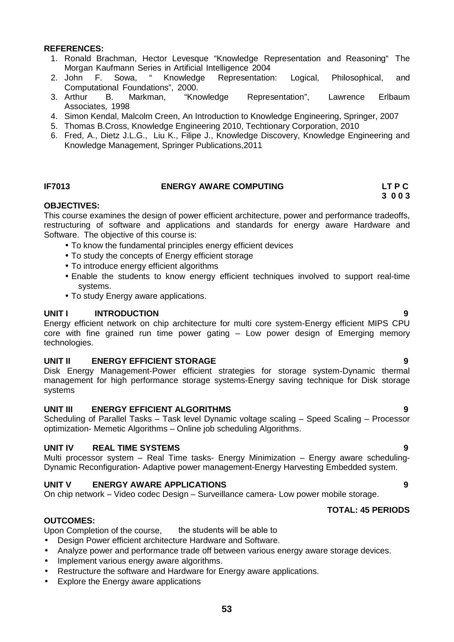- 1. Ronald Brachman, Hector Levesque "Knowledge Representation and Reasoning" The Morgan Kaufmann Series in Artificial Intelligence 2004
- 2. John F. Sowa, " Knowledge Representation: Logical, Philosophical, and Computational Foundations", 2000.
- 3. Arthur B. Markman, "Knowledge Representation", Lawrence Erlbaum Associates, 1998
- 4. Simon Kendal, Malcolm Creen, An Introduction to Knowledge Engineering, Springer, 2007
- 5. Thomas B.Cross, Knowledge Engineering 2010, Techtionary Corporation, 2010
- 6. Fred, A., Dietz J.L.G., Liu K., Filipe J., Knowledge Discovery, Knowledge Engineering and Knowledge Management, Springer Publications,2011

## **IF7013 ENERGY AWARE COMPUTING LT P C**

# **3 0 0 3**

## **OBJECTIVES:**

This course examines the design of power efficient architecture, power and performance tradeoffs, restructuring of software and applications and standards for energy aware Hardware and Software. The objective of this course is:

- To know the fundamental principles energy efficient devices
- To study the concepts of Energy efficient storage
- To introduce energy efficient algorithms
- Enable the students to know energy efficient techniques involved to support real-time systems.
- To study Energy aware applications.

## **UNIT I INTRODUCTION 9**

Energy efficient network on chip architecture for multi core system-Energy efficient MIPS CPU core with fine grained run time power gating – Low power design of Emerging memory technologies.

## **UNIT II ENERGY EFFICIENT STORAGE 9**

Disk Energy Management-Power efficient strategies for storage system-Dynamic thermal management for high performance storage systems-Energy saving technique for Disk storage systems

### **UNIT III ENERGY EFFICIENT ALGORITHMS 9**

Scheduling of Parallel Tasks – Task level Dynamic voltage scaling – Speed Scaling – Processor optimization- Memetic Algorithms – Online job scheduling Algorithms.

## **UNIT IV REAL TIME SYSTEMS 9**

Multi processor system – Real Time tasks- Energy Minimization – Energy aware scheduling- Dynamic Reconfiguration- Adaptive power management-Energy Harvesting Embedded system.

## **UNIT V ENERGY AWARE APPLICATIONS 9**

On chip network – Video codec Design – Surveillance camera- Low power mobile storage.

### **TOTAL: 45 PERIODS**

### **OUTCOMES:**

Upon Completion of the course, the students will be able to

- Design Power efficient architecture Hardware and Software.
- Analyze power and performance trade off between various energy aware storage devices.
- Implement various energy aware algorithms.
- Restructure the software and Hardware for Energy aware applications.
- Explore the Energy aware applications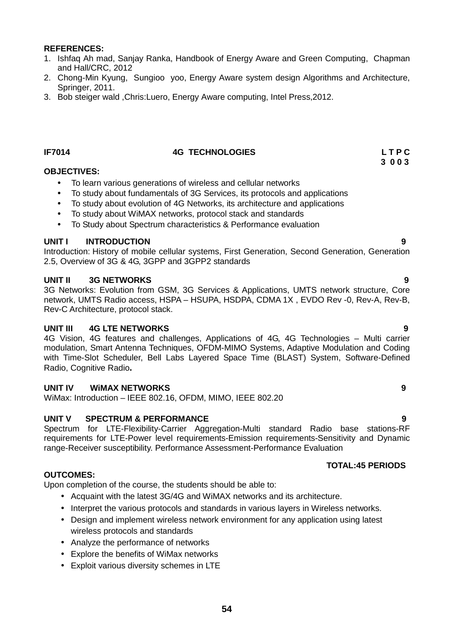- 1. Ishfaq Ah mad, Sanjay Ranka, Handbook of Energy Aware and Green Computing, Chapman and Hall/CRC, 2012
- 2. Chong-Min Kyung, Sungioo yoo, Energy Aware system design Algorithms and Architecture, Springer, 2011.
- 3. Bob steiger wald ,Chris:Luero, Energy Aware computing, Intel Press,2012.

## **IF7014 4G TECHNOLOGIES L T P C**

### **OBJECTIVES:**

- To learn various generations of wireless and cellular networks
- To study about fundamentals of 3G Services, its protocols and applications
- To study about evolution of 4G Networks, its architecture and applications
- To study about WiMAX networks, protocol stack and standards
- To Study about Spectrum characteristics & Performance evaluation

### **UNIT I INTRODUCTION 9**

Introduction: History of mobile cellular systems, First Generation, Second Generation, Generation 2.5, Overview of 3G & 4G, 3GPP and 3GPP2 standards

## **UNIT II 3G NETWORKS 9**

3G Networks: Evolution from GSM, 3G Services & Applications, UMTS network structure, Core network, UMTS Radio access, HSPA - HSUPA, HSDPA, CDMA 1X, EVDO Rev -0, Rev-A, Rev-B, Rev-C Architecture, protocol stack.

## **UNIT III 4G LTE NETWORKS 9**

4G Vision, 4G features and challenges, Applications of 4G, 4G Technologies – Multi carrier modulation, Smart Antenna Techniques, OFDM-MIMO Systems, Adaptive Modulation and Coding with Time-Slot Scheduler, Bell Labs Layered Space Time (BLAST) System, Software-Defined Radio, Cognitive Radio**.**

## **UNIT IV WiMAX NETWORKS 9**

WiMax: Introduction – IEEE 802.16, OFDM, MIMO, IEEE 802.20

## **UNIT V SPECTRUM & PERFORMANCE 9**

Spectrum for LTE-Flexibility-Carrier Aggregation-Multi standard Radio base stations-RF requirements for LTE-Power level requirements-Emission requirements-Sensitivity and Dynamic range-Receiver susceptibility. Performance Assessment-Performance Evaluation

## **TOTAL:45 PERIODS**

## **OUTCOMES:**

Upon completion of the course, the students should be able to:

- Acquaint with the latest 3G/4G and WiMAX networks and its architecture.
- Interpret the various protocols and standards in various layers in Wireless networks.
- Design and implement wireless network environment for any application using latest wireless protocols and standards
- Analyze the performance of networks
- Explore the benefits of WiMax networks
- Exploit various diversity schemes in LTE

**3 0 0 3**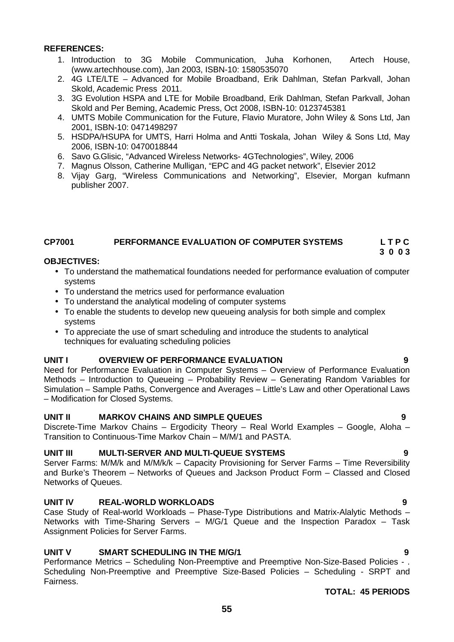- 1. Introduction to 3G Mobile Communication, Juha Korhonen, Artech House, (www.artechhouse.com), Jan 2003, ISBN-10: 1580535070
- 2. 4G LTE/LTE Advanced for Mobile Broadband, Erik Dahlman, Stefan Parkvall, Johan Skold, Academic Press 2011.
- 3. 3G Evolution HSPA and LTE for Mobile Broadband, Erik Dahlman, Stefan Parkvall, Johan Skold and Per Beming, Academic Press, Oct 2008, ISBN-10: 0123745381
- 4. UMTS Mobile Communication for the Future, Flavio Muratore, John Wiley & Sons Ltd, Jan 2001, ISBN-10: 0471498297
- 5. HSDPA/HSUPA for UMTS, Harri Holma and Antti Toskala, Johan Wiley & Sons Ltd, May 2006, ISBN-10: 0470018844
- 6. Savo G.Glisic, "Advanced Wireless Networks- 4GTechnologies", Wiley, 2006
- 7. Magnus Olsson, Catherine Mulligan, "EPC and 4G packet network", Elsevier 2012
- 8. Vijay Garg, "Wireless Communications and Networking", Elsevier, Morgan kufmann publisher 2007.

### **CP7001 PERFORMANCE EVALUATION OF COMPUTER SYSTEMS L T P C 3 0 0 3**

## **OBJECTIVES:**

- To understand the mathematical foundations needed for performance evaluation of computer systems
- To understand the metrics used for performance evaluation
- To understand the analytical modeling of computer systems
- To enable the students to develop new queueing analysis for both simple and complex systems
- To appreciate the use of smart scheduling and introduce the students to analytical techniques for evaluating scheduling policies

## **UNIT I OVERVIEW OF PERFORMANCE EVALUATION 9**

Need for Performance Evaluation in Computer Systems – Overview of Performance Evaluation Methods – Introduction to Queueing – Probability Review – Generating Random Variables for Simulation – Sample Paths, Convergence and Averages – Little's Law and other Operational Laws – Modification for Closed Systems.

## **UNIT II MARKOV CHAINS AND SIMPLE QUEUES 9**

Discrete-Time Markov Chains – Ergodicity Theory – Real World Examples – Google, Aloha – Transition to Continuous-Time Markov Chain – M/M/1 and PASTA.

## **UNIT III MULTI-SERVER AND MULTI-QUEUE SYSTEMS 9**

Server Farms: M/M/k and M/M/k/k – Capacity Provisioning for Server Farms – Time Reversibility and Burke's Theorem – Networks of Queues and Jackson Product Form – Classed and Closed Networks of Queues.

## **UNIT IV REAL-WORLD WORKLOADS 9**

Case Study of Real-world Workloads – Phase-Type Distributions and Matrix-Alalytic Methods – Networks with Time-Sharing Servers – M/G/1 Queue and the Inspection Paradox – Task Assignment Policies for Server Farms.

## **UNIT V SMART SCHEDULING IN THE M/G/1 9**

Performance Metrics – Scheduling Non-Preemptive and Preemptive Non-Size-Based Policies - . Scheduling Non-Preemptive and Preemptive Size-Based Policies – Scheduling - SRPT and Fairness.